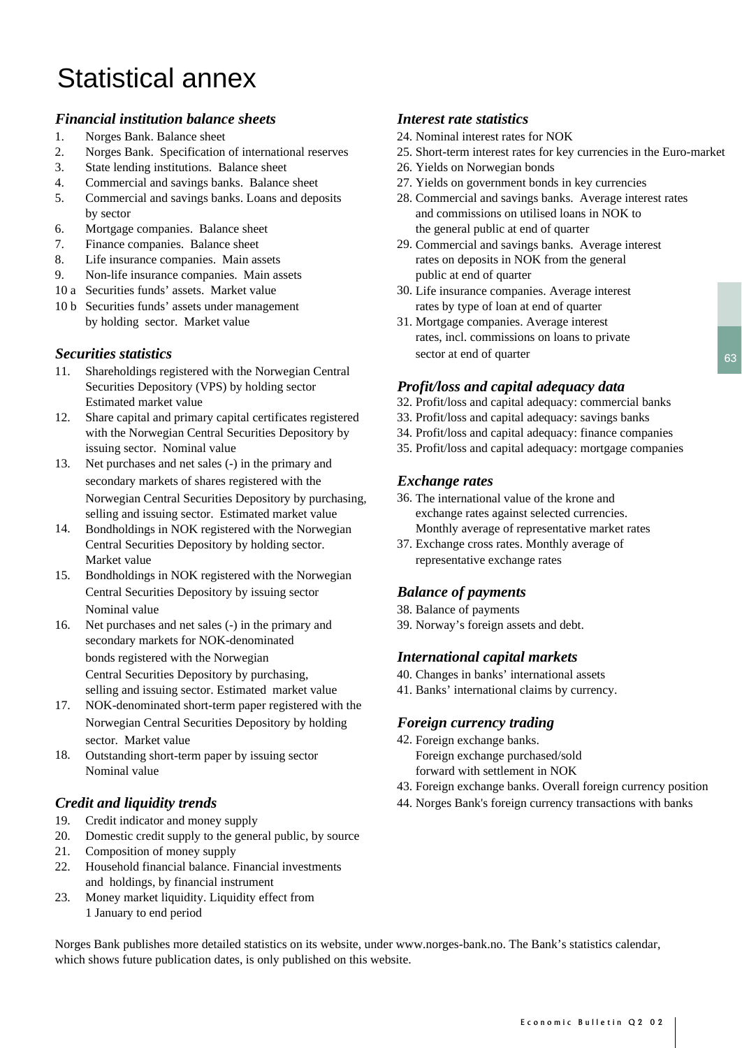# Statistical annex

### *Financial institution balance sheets Interest rate statistics*

- 
- 
- 3. State lending institutions. Balance sheet 26. Yields on Norwegian bonds
- 4. Commercial and savings banks. Balance sheet 27. Yields on government bonds in key currencies
- by sector and commissions on utilised loans in NOK to
- 6. Mortgage companies. Balance sheet the general public at end of quarter
- 
- 
- 9. Non-life insurance companies. Main assets public at end of quarter
- 
- 10 b Securities funds' assets under management rates by type of loan at end of quarter by holding sector. Market value 31. Mortgage companies. Average interest

- 11. Shareholdings registered with the Norwegian Central Securities Depository (VPS) by holding sector *Profit/loss and capital adequacy data* Estimated market value 32. Profit/loss and capital adequacy: commercial banks
- 12. Share capital and primary capital certificates registered 33. Profit/loss and capital adequacy: savings banks with the Norwegian Central Securities Depository by 34. Profit/loss and capital adequacy: finance companies
- 13. Net purchases and net sales (-) in the primary and secondary markets of shares registered with the *Exchange rates* Norwegian Central Securities Depository by purchasing, 36. The international value of the krone and selling and issuing sector. Estimated market value exchange rates against selected currencies.
- 14. Bondholdings in NOK registered with the Norwegian Monthly average of representative market rates Central Securities Depository by holding sector. 37. Exchange cross rates. Monthly average of Market value **representative exchange rates** representative exchange rates
- 15. Bondholdings in NOK registered with the Norwegian Central Securities Depository by issuing sector *Balance of payments* Nominal value 38. Balance of payments
- 16. Net purchases and net sales (-) in the primary and 39. Norway's foreign assets and debt. secondary markets for NOK-denominated bonds registered with the Norwegian *International capital markets* Central Securities Depository by purchasing, 40. Changes in banks' international assets
- 17. NOK-denominated short-term paper registered with the Norwegian Central Securities Depository by holding *Foreign currency trading* sector. Market value  $\overline{42}$ . Foreign exchange banks.
- 18. Outstanding short-term paper by issuing sector Foreign exchange purchased/sold Nominal value forward with settlement in NOK

- 19. Credit indicator and money supply
- 20. Domestic credit supply to the general public, by source
- 21. Composition of money supply
- 22. Household financial balance. Financial investments and holdings, by financial instrument
- 23. Money market liquidity. Liquidity effect from 1 January to end period

- 1. Norges Bank. Balance sheet 24. Nominal interest rates for NOK
- 2. Norges Bank. Specification of international reserves 25. Short-term interest rates for key currencies in the Euro-market
	-
	-
- 5. Commercial and savings banks. Loans and deposits 28. Commercial and savings banks. Average interest rates
- 7. Finance companies. Balance sheet 29. Commercial and savings banks. Average interest 8. Life insurance companies. Main assets rates on deposits in NOK from the general
- 10 a Securities funds' assets. Market value 30. Life insurance companies. Average interest
- rates, incl. commissions on loans to private **Securities statistics** sector at end of quarter

- 
- 
- 
- issuing sector. Nominal value 35. Profit/loss and capital adequacy: mortgage companies

- 
- 

- 
- 

- 
- selling and issuing sector. Estimated market value 41. Banks' international claims by currency.

- -
- 43. Foreign exchange banks. Overall foreign currency position
- **Credit and liquidity trends** 44. Norges Bank's foreign currency transactions with banks

Norges Bank publishes more detailed statistics on its website, under www.norges-bank.no. The Bank's statistics calendar, which shows future publication dates, is only published on this website.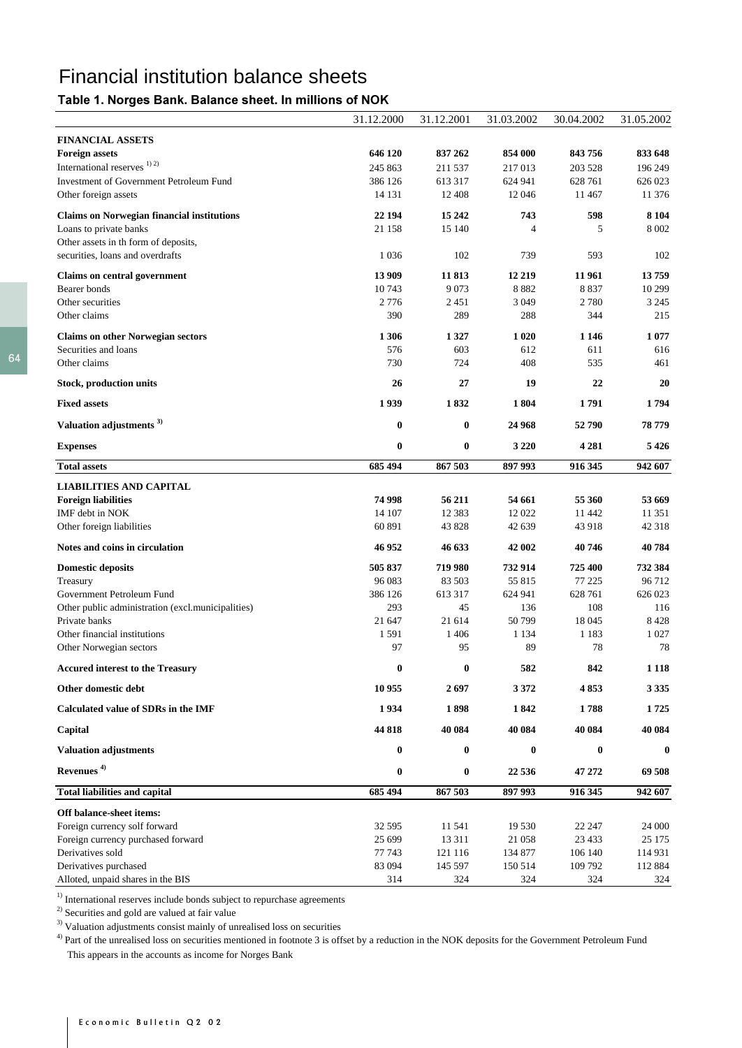## Financial institution balance sheets

#### Table 1. Norges Bank. Balance sheet. In millions of NOK

|                                                                             | 31.12.2000        | 31.12.2001        | 31.03.2002        | 30.04.2002        | 31.05.2002        |
|-----------------------------------------------------------------------------|-------------------|-------------------|-------------------|-------------------|-------------------|
| <b>FINANCIAL ASSETS</b>                                                     |                   |                   |                   |                   |                   |
| <b>Foreign assets</b>                                                       | 646 120           | 837 262           | 854 000           | 843756            | 833 648           |
| International reserves <sup>1)</sup> <sup>2)</sup>                          | 245 863           | 211 537           | 217 013           | 203 528           | 196 249           |
| <b>Investment of Government Petroleum Fund</b>                              | 386 126           | 613 317           | 624 941           | 628 761           | 626 023           |
| Other foreign assets                                                        | 14 13 1           | 12 4 08           | 12 04 6           | 11 4 67           | 11 376            |
|                                                                             | 22 194            | 15 24 2           | 743               | 598               | 8 1 0 4           |
| <b>Claims on Norwegian financial institutions</b><br>Loans to private banks | 21 158            | 15 140            | 4                 | 5                 | 8 0 0 2           |
| Other assets in th form of deposits,                                        |                   |                   |                   |                   |                   |
| securities, loans and overdrafts                                            | 1 0 3 6           | 102               | 739               | 593               | 102               |
|                                                                             |                   |                   |                   |                   |                   |
| <b>Claims on central government</b>                                         | 13 909            | 11813             | 12 219            | 11 961            | 13759             |
| Bearer bonds<br>Other securities                                            | 10743<br>2 7 7 6  | 9073<br>2451      | 8882<br>3 0 4 9   | 8837<br>2780      | 10 299<br>3 2 4 5 |
| Other claims                                                                | 390               | 289               | 288               | 344               | 215               |
|                                                                             |                   |                   |                   |                   |                   |
| <b>Claims on other Norwegian sectors</b>                                    | 1 3 0 6           | 1 3 2 7           | 1 0 20            | 1 1 4 6           | 1 0 7 7           |
| Securities and loans                                                        | 576               | 603               | 612               | 611               | 616               |
| Other claims                                                                | 730               | 724               | 408               | 535               | 461               |
| <b>Stock, production units</b>                                              | 26                | 27                | 19                | 22                | 20                |
| <b>Fixed assets</b>                                                         | 1939              | 1832              | 1804              | 1791              | 1794              |
| Valuation adjustments <sup>3)</sup>                                         | $\bf{0}$          | $\bf{0}$          | 24 968            | 52790             | 78 779            |
| <b>Expenses</b>                                                             | $\bf{0}$          | $\bf{0}$          | 3 2 2 0           | 4 2 8 1           | 5426              |
| <b>Total assets</b>                                                         | 685 494           | 867 503           | 897 993           | 916 345           | 942 607           |
| <b>LIABILITIES AND CAPITAL</b>                                              |                   |                   |                   |                   |                   |
| <b>Foreign liabilities</b>                                                  | 74 998            | 56 211            | 54 661            | 55 360            | 53 669            |
| IMF debt in NOK                                                             | 14 107            | 12 3 8 3          | 12 022            | 11 442            | 11 351            |
| Other foreign liabilities                                                   | 60 891            | 43 828            | 42 639            | 43 918            | 42 318            |
| Notes and coins in circulation                                              | 46 952            | 46 633            | 42 002            | 40746             | 40784             |
|                                                                             |                   |                   |                   |                   |                   |
| <b>Domestic deposits</b><br>Treasury                                        | 505 837<br>96 083 | 719 980<br>83 503 | 732 914<br>55 815 | 725 400<br>77 225 | 732 384<br>96 712 |
| Government Petroleum Fund                                                   | 386 126           | 613 317           | 624 941           | 628 761           | 626 023           |
| Other public administration (excl.municipalities)                           | 293               | 45                | 136               | 108               | 116               |
| Private banks                                                               | 21 647            | 21 614            | 50799             | 18 045            | 8428              |
| Other financial institutions                                                | 1 5 9 1           | 1406              | 1 1 3 4           | 1 1 8 3           | 1 0 27            |
| Other Norwegian sectors                                                     | 97                | 95                | 89                | 78                | 78                |
| <b>Accured interest to the Treasury</b>                                     | 0                 | $\bf{0}$          | 582               | 842               | 1 1 1 8           |
| Other domestic debt                                                         | 10 955            | 2697              | 3 3 7 2           | 4853              | 3 3 3 5           |
| <b>Calculated value of SDRs in the IMF</b>                                  | 1934              | 1898              | 1842              | 1788              | 1725              |
| Capital                                                                     | 44 818            | 40 084            | 40 084            | 40 084            | 40 084            |
| <b>Valuation adjustments</b>                                                | $\bf{0}$          | $\bf{0}$          | 0                 | $\bf{0}$          | $\bf{0}$          |
| Revenues <sup>4)</sup>                                                      | 0                 | $\bf{0}$          | 22 536            | 47 272            | 69 508            |
| <b>Total liabilities and capital</b>                                        | 685 494           | 867 503           | 897 993           | 916 345           | 942 607           |
|                                                                             |                   |                   |                   |                   |                   |
| Off balance-sheet items:                                                    |                   |                   |                   |                   |                   |
| Foreign currency solf forward                                               | 32 595<br>25 699  | 11 541<br>13 3 11 | 19 530            | 22 247<br>23 4 33 | 24 000            |
| Foreign currency purchased forward<br>Derivatives sold                      | 77 743            | 121 116           | 21 058<br>134 877 | 106 140           | 25 175<br>114 931 |
| Derivatives purchased                                                       | 83 094            | 145 597           | 150 514           | 109 792           | 112 884           |
| Alloted, unpaid shares in the BIS                                           | 314               | 324               | 324               | 324               | 324               |
|                                                                             |                   |                   |                   |                   |                   |

 $<sup>1</sup>$  International reserves include bonds subject to repurchase agreements</sup>

 $^{2)}$  Securities and gold are valued at fair value

<sup>3)</sup> Valuation adjustments consist mainly of unrealised loss on securities

<sup>4)</sup> Part of the unrealised loss on securities mentioned in footnote 3 is offset by a reduction in the NOK deposits for the Government Petroleum Fund This appears in the accounts as income for Norges Bank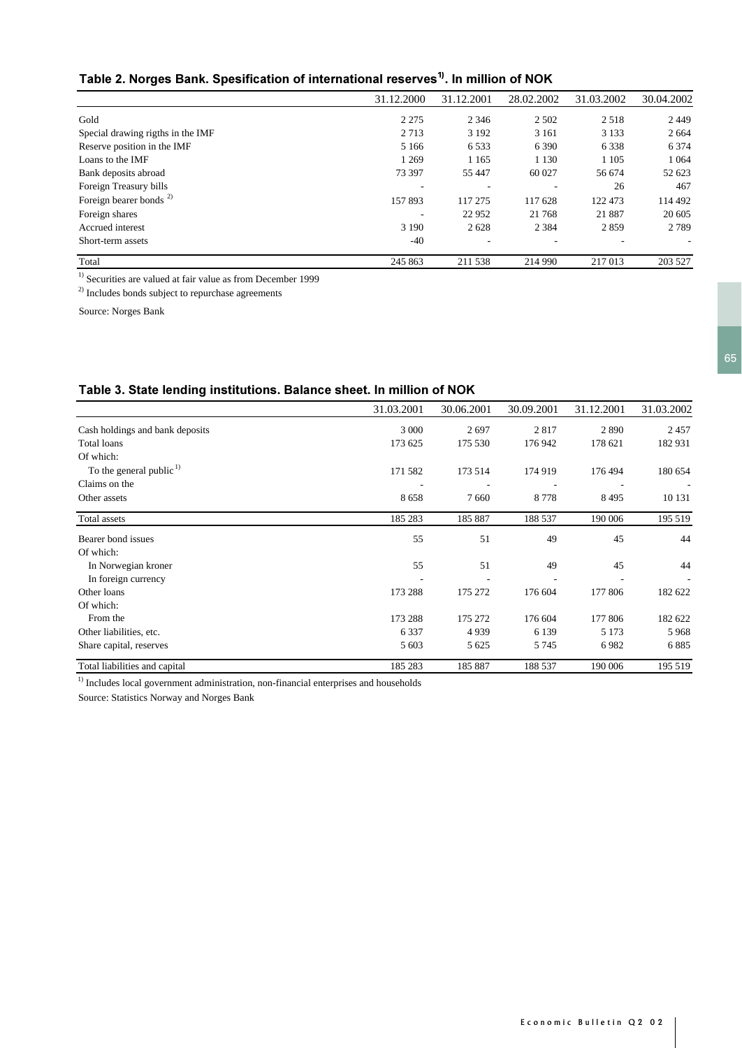### Table 2. Norges Bank. Spesification of international reserves<sup>1)</sup>. In million of NOK

|                                    | 31.12.2000 | 31.12.2001 | 28.02.2002 | 31.03.2002 | 30.04.2002 |
|------------------------------------|------------|------------|------------|------------|------------|
| Gold                               | 2 2 7 5    | 2 3 4 6    | 2 5 0 2    | 2 5 1 8    | 2449       |
| Special drawing rigths in the IMF  | 2 7 1 3    | 3 1 9 2    | 3 1 6 1    | 3 1 3 3    | 2 6 6 4    |
| Reserve position in the IMF        | 5 1 6 6    | 6 5 3 3    | 6 3 9 0    | 6338       | 6 3 7 4    |
| Loans to the IMF                   | 1 2 6 9    | 1 1 6 5    | 1 1 3 0    | 1 1 0 5    | 1 0 6 4    |
| Bank deposits abroad               | 73 397     | 55 447     | 60 027     | 56 674     | 52 623     |
| Foreign Treasury bills             |            |            |            | 26         | 467        |
| Foreign bearer bonds <sup>2)</sup> | 157893     | 117 275    | 117 628    | 122 473    | 114 492    |
| Foreign shares                     |            | 22 9 52    | 21 768     | 21887      | 20 605     |
| Accrued interest                   | 3 1 9 0    | 2628       | 2 3 8 4    | 2859       | 2 7 8 9    |
| Short-term assets                  | $-40$      |            |            |            |            |
| Total                              | 245 863    | 211 538    | 214 990    | 217 013    | 203 527    |
|                                    |            |            |            |            |            |

 $\overline{1}$ ) Securities are valued at fair value as from December 1999

2) Includes bonds subject to repurchase agreements

Source: Norges Bank

|                                 | 31.03.2001 | 30.06.2001 | 30.09.2001 | 31.12.2001 | 31.03.2002 |
|---------------------------------|------------|------------|------------|------------|------------|
| Cash holdings and bank deposits | 3 0 0 0    | 2697       | 2817       | 2890       | 2457       |
| Total loans                     | 173 625    | 175 530    | 176 942    | 178 621    | 182 931    |
| Of which:                       |            |            |            |            |            |
| To the general public $1$       | 171 582    | 173 514    | 174 919    | 176 494    | 180 654    |
| Claims on the                   |            |            |            |            |            |
| Other assets                    | 8658       | 7660       | 8778       | 8495       | 10 131     |
| Total assets                    | 185 283    | 185 887    | 188 537    | 190 006    | 195 519    |
| Bearer bond issues              | 55         | 51         | 49         | 45         | 44         |
| Of which:                       |            |            |            |            |            |
| In Norwegian kroner             | 55         | 51         | 49         | 45         | 44         |
| In foreign currency             |            |            |            |            |            |
| Other loans                     | 173 288    | 175 272    | 176 604    | 177 806    | 182 622    |
| Of which:                       |            |            |            |            |            |
| From the                        | 173 288    | 175 272    | 176 604    | 177 806    | 182 622    |
| Other liabilities, etc.         | 6 3 3 7    | 4939       | 6 1 3 9    | 5 1 7 3    | 5968       |
| Share capital, reserves         | 5 603      | 5 6 25     | 5 7 4 5    | 6982       | 6885       |
| Total liabilities and capital   | 185 283    | 185 887    | 188 537    | 190 006    | 195 519    |

#### Table 3. State lending institutions. Balance sheet. In million of NOK

<sup>1)</sup> Includes local government administration, non-financial enterprises and households

Source: Statistics Norway and Norges Bank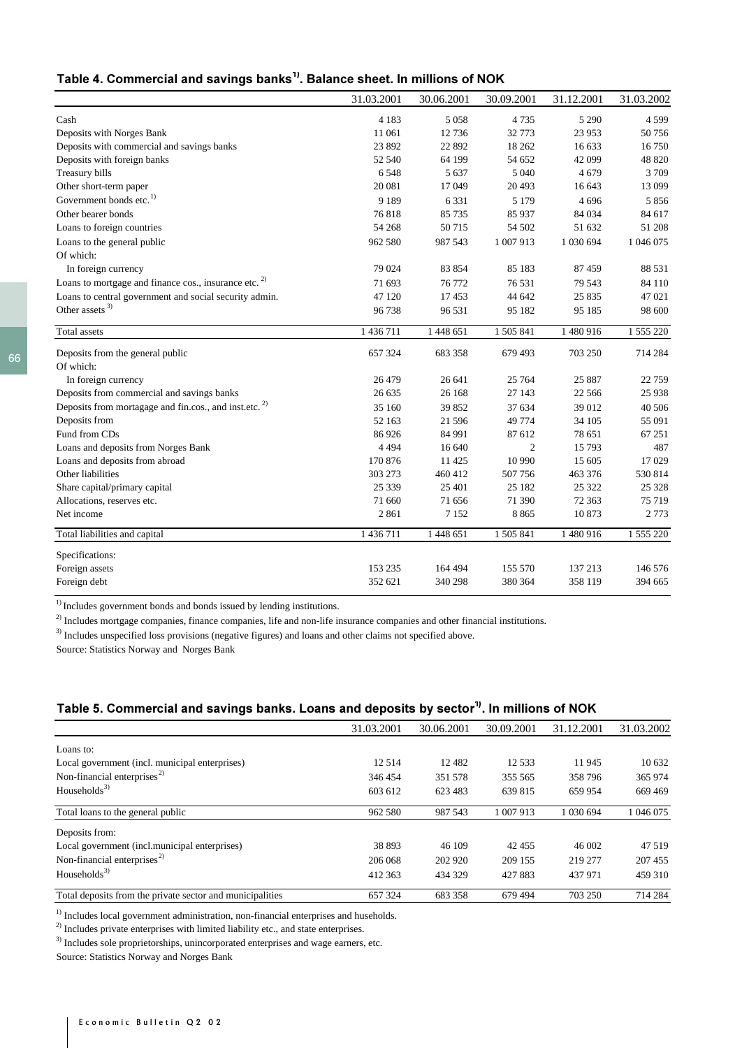| Table 4. Commercial and savings banks <sup>1)</sup> . Balance sheet. In millions of NOK |
|-----------------------------------------------------------------------------------------|
|-----------------------------------------------------------------------------------------|

|                                                                   | 31.03.2001 | 30.06.2001 | 30.09.2001 | 31.12.2001  | 31.03.2002 |
|-------------------------------------------------------------------|------------|------------|------------|-------------|------------|
| Cash                                                              | 4 1 8 3    | 5 0 5 8    | 4735       | 5 2 9 0     | 4599       |
| Deposits with Norges Bank                                         | 11 061     | 12736      | 32 773     | 23 953      | 50756      |
| Deposits with commercial and savings banks                        | 23 892     | 22 892     | 18 26 2    | 16 633      | 16750      |
| Deposits with foreign banks                                       | 52 540     | 64 199     | 54 652     | 42 099      | 48 8 20    |
| Treasury bills                                                    | 6548       | 5 6 3 7    | 5 0 4 0    | 4679        | 3709       |
| Other short-term paper                                            | 20 081     | 17049      | 20 4 93    | 16 643      | 13 099     |
| Government bonds etc. <sup>1)</sup>                               | 9 1 8 9    | 6 3 3 1    | 5 1 7 9    | 4696        | 5856       |
| Other bearer bonds                                                | 76818      | 85 735     | 85 937     | 84 034      | 84 617     |
| Loans to foreign countries                                        | 54 268     | 50715      | 54 502     | 51 632      | 51 208     |
| Loans to the general public                                       | 962 580    | 987 543    | 1 007 913  | 1 0 30 6 94 | 1 046 075  |
| Of which:                                                         |            |            |            |             |            |
| In foreign currency                                               | 79 024     | 83 854     | 85 183     | 87 459      | 88 531     |
| Loans to mortgage and finance cos., insurance etc. <sup>2)</sup>  | 71 693     | 76 772     | 76 531     | 79 543      | 84 110     |
| Loans to central government and social security admin.            | 47 120     | 17453      | 44 642     | 25 8 35     | 47 021     |
| Other assets $3)$                                                 | 96 738     | 96 531     | 95 182     | 95 185      | 98 600     |
| <b>Total</b> assets                                               | 1 436 711  | 1 448 651  | 1 505 841  | 1 480 916   | 1 555 220  |
| Deposits from the general public                                  | 657 324    | 683 358    | 679 493    | 703 250     | 714 284    |
| Of which:                                                         |            |            |            |             |            |
| In foreign currency                                               | 26 479     | 26 641     | 25 7 64    | 25 887      | 22759      |
| Deposits from commercial and savings banks                        | 26 635     | 26 168     | 27 143     | 22 5 6 6    | 25 938     |
| Deposits from mortagage and fin.cos., and inst.etc. <sup>2)</sup> | 35 160     | 39852      | 37 634     | 39 012      | 40 50 6    |
| Deposits from                                                     | 52 163     | 21 59 6    | 49 774     | 34 105      | 55 091     |
| Fund from CDs                                                     | 86 926     | 84 991     | 87 612     | 78 651      | 67 251     |
| Loans and deposits from Norges Bank                               | 4 4 9 4    | 16 640     | 2          | 15 793      | 487        |
| Loans and deposits from abroad                                    | 170 876    | 11 4 25    | 10 990     | 15 605      | 17029      |
| Other liabilities                                                 | 303 273    | 460 412    | 507 756    | 463 376     | 530 814    |
| Share capital/primary capital                                     | 25 339     | 25 401     | 25 182     | 25 3 22     | 25 3 28    |
| Allocations, reserves etc.                                        | 71 660     | 71 656     | 71 390     | 72 363      | 75 719     |
| Net income                                                        | 2861       | 7 1 5 2    | 8865       | 10873       | 2773       |
| Total liabilities and capital                                     | 1 436 711  | 1 448 651  | 1 505 841  | 1 480 916   | 1 555 220  |
| Specifications:                                                   |            |            |            |             |            |
| Foreign assets                                                    | 153 235    | 164 494    | 155 570    | 137 213     | 146 576    |
| Foreign debt                                                      | 352 621    | 340 298    | 380 364    | 358 119     | 394 665    |

<sup>1)</sup> Includes government bonds and bonds issued by lending institutions.

<sup>2)</sup> Includes mortgage companies, finance companies, life and non-life insurance companies and other financial institutions.

<sup>3)</sup> Includes unspecified loss provisions (negative figures) and loans and other claims not specified above.

Source: Statistics Norway and Norges Bank

### Table 5. Commercial and savings banks. Loans and deposits by sector $^{1)}$ . In millions of NOK

|                                                           | 31.03.2001 | 30.06.2001 | 30.09.2001 | 31.12.2001 | 31.03.2002 |
|-----------------------------------------------------------|------------|------------|------------|------------|------------|
| Loans to:                                                 |            |            |            |            |            |
| Local government (incl. municipal enterprises)            | 12 5 14    | 12482      | 12.533     | 11945      | 10 632     |
| Non-financial enterprises <sup>2)</sup>                   | 346454     | 351 578    | 355 565    | 358796     | 365 974    |
| Households $3)$                                           | 603 612    | 623 483    | 639 815    | 659 954    | 669 469    |
| Total loans to the general public                         | 962 580    | 987 543    | 1007913    | 1 030 694  | 1 046 075  |
| Deposits from:                                            |            |            |            |            |            |
| Local government (incl.municipal enterprises)             | 38 893     | 46 109     | 42 455     | 46 002     | 47 5 19    |
| Non-financial enterprises <sup>2)</sup>                   | 206 068    | 202 920    | 209 155    | 219 277    | 207 455    |
| Households $3)$                                           | 412 363    | 434 329    | 427 883    | 437 971    | 459 310    |
| Total deposits from the private sector and municipalities | 657 324    | 683 358    | 679 494    | 703 250    | 714 284    |

<sup>1)</sup> Includes local government administration, non-financial enterprises and huseholds.

<sup>2)</sup> Includes private enterprises with limited liability etc., and state enterprises.

<sup>3)</sup> Includes sole proprietorships, unincorporated enterprises and wage earners, etc.

Source: Statistics Norway and Norges Bank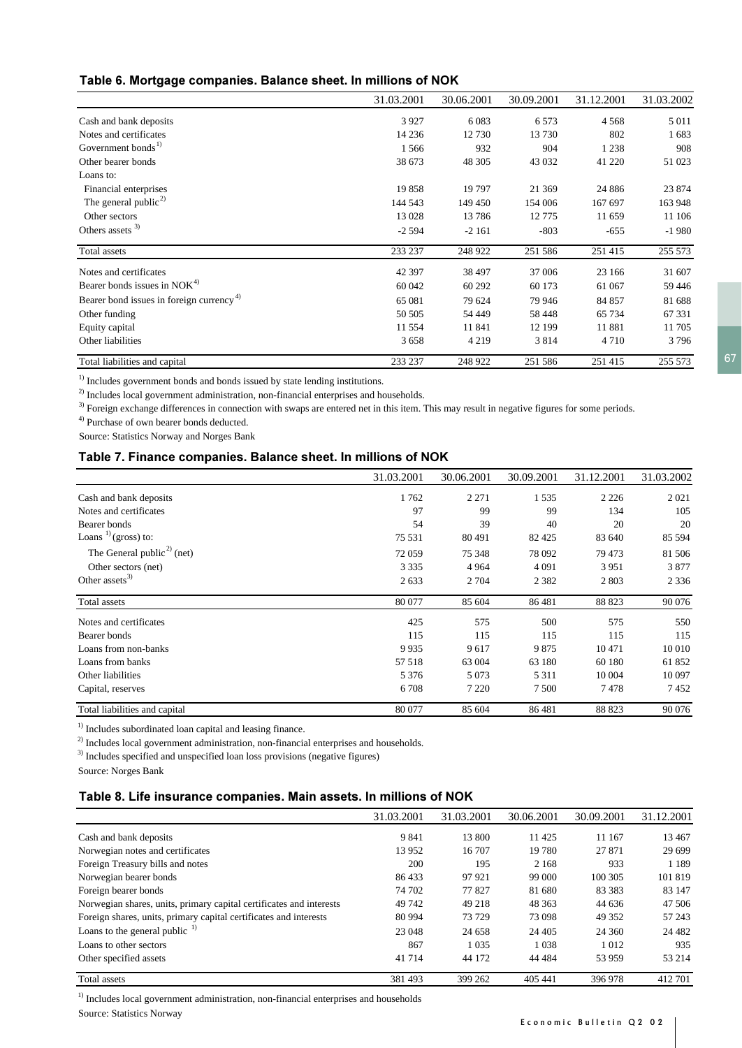#### Table 6. Mortgage companies. Balance sheet. In millions of NOK

|                                                      | 31.03.2001 | 30.06.2001 | 30.09.2001 | 31.12.2001 | 31.03.2002 |
|------------------------------------------------------|------------|------------|------------|------------|------------|
| Cash and bank deposits                               | 3927       | 6 0 8 3    | 6573       | 4 5 6 8    | 5 0 1 1    |
| Notes and certificates                               | 14 2 36    | 12 730     | 13 730     | 802        | 1683       |
| Government bonds <sup>1)</sup>                       | 1 5 6 6    | 932        | 904        | 1 2 3 8    | 908        |
| Other bearer bonds                                   | 38 673     | 48 30 5    | 43 032     | 41 220     | 51 023     |
| Loans to:                                            |            |            |            |            |            |
| Financial enterprises                                | 19858      | 19 797     | 21 369     | 24 8 8 6   | 23 874     |
| The general public <sup>2)</sup>                     | 144 543    | 149 450    | 154 006    | 167 697    | 163 948    |
| Other sectors                                        | 13 0 28    | 13786      | 12 775     | 11 659     | 11 106     |
| Others assets $3)$                                   | $-2594$    | $-2161$    | $-803$     | $-655$     | $-1980$    |
| Total assets                                         | 233 237    | 248 922    | 251 586    | 251 415    | 255 573    |
| Notes and certificates                               | 42 397     | 38 497     | 37 006     | 23 166     | 31 607     |
| Bearer bonds issues in NOK <sup>4)</sup>             | 60 042     | 60 292     | 60 173     | 61 067     | 59 446     |
| Bearer bond issues in foreign currency <sup>4)</sup> | 65 081     | 79 624     | 79 946     | 84 857     | 81 688     |
| Other funding                                        | 50 50 5    | 54 449     | 58 448     | 65 734     | 67 331     |
| Equity capital                                       | 11 554     | 11 841     | 12 199     | 11 881     | 11 705     |
| Other liabilities                                    | 3658       | 4 2 1 9    | 3814       | 4710       | 3796       |
| Total liabilities and capital                        | 233 237    | 248 922    | 251 586    | 251415     | 255 573    |

<sup>1)</sup> Includes government bonds and bonds issued by state lending institutions.

 $^{2)}$  Includes local government administration, non-financial enterprises and households.

 $3$ ) Foreign exchange differences in connection with swaps are entered net in this item. This may result in negative figures for some periods.

4) Purchase of own bearer bonds deducted.

Source: Statistics Norway and Norges Bank

#### Table 7. Finance companies. Balance sheet. In millions of NOK

|                                        | 31.03.2001 | 30.06.2001 | 30.09.2001 | 31.12.2001 | 31.03.2002 |
|----------------------------------------|------------|------------|------------|------------|------------|
| Cash and bank deposits                 | 1762       | 2 2 7 1    | 1535       | 2 2 2 6    | 2021       |
| Notes and certificates                 | 97         | 99         | 99         | 134        | 105        |
| Bearer bonds                           | 54         | 39         | 40         | 20         | 20         |
| Loans $\frac{1}{1}$ (gross) to:        | 75 531     | 80491      | 82 4 25    | 83 640     | 85 5 94    |
| The General public <sup>2)</sup> (net) | 72059      | 75 348     | 78 092     | 79 473     | 81 50 6    |
| Other sectors (net)                    | 3 3 3 5    | 4 9 6 4    | 4 0 9 1    | 3951       | 3877       |
| Other assets $3)$                      | 2 6 3 3    | 2 7 0 4    | 2 3 8 2    | 2803       | 2 3 3 6    |
| Total assets                           | 80 077     | 85 604     | 86 481     | 88 823     | 90 076     |
| Notes and certificates                 | 425        | 575        | 500        | 575        | 550        |
| Bearer bonds                           | 115        | 115        | 115        | 115        | 115        |
| Loans from non-banks                   | 9935       | 9617       | 9875       | 10471      | 10 010     |
| Loans from banks                       | 57 518     | 63 004     | 63 180     | 60 180     | 61852      |
| Other liabilities                      | 5 3 7 6    | 5 0 7 3    | 5 3 1 1    | 10 004     | 10 097     |
| Capital, reserves                      | 6 708      | 7 2 2 0    | 7 500      | 7478       | 7452       |
| Total liabilities and capital          | 80 077     | 85 604     | 86 481     | 88 823     | 90 0 76    |

 $1)$  Includes subordinated loan capital and leasing finance.

 $^{2)}$  Includes local government administration, non-financial enterprises and households.

<sup>3)</sup> Includes specified and unspecified loan loss provisions (negative figures)

Source: Norges Bank

#### Table 8. Life insurance companies. Main assets. In millions of NOK

|                                                                     | 31.03.2001 | 31.03.2001 | 30.06.2001 | 30.09.2001 | 31.12.2001 |
|---------------------------------------------------------------------|------------|------------|------------|------------|------------|
| Cash and bank deposits                                              | 9 8 4 1    | 13 800     | 11 4 25    | 11 167     | 13 4 67    |
| Norwegian notes and certificates                                    | 13 9 52    | 16 707     | 19 780     | 27 871     | 29 699     |
| Foreign Treasury bills and notes                                    | 200        | 195        | 2 1 6 8    | 933        | 1 1 8 9    |
| Norwegian bearer bonds                                              | 86433      | 97 921     | 99 000     | 100 305    | 101 819    |
| Foreign bearer bonds                                                | 74 702     | 77827      | 81 680     | 83 3 83    | 83 147     |
| Norwegian shares, units, primary capital certificates and interests | 49 742     | 49 218     | 48 363     | 44 636     | 47 506     |
| Foreign shares, units, primary capital certificates and interests   | 80 994     | 73 729     | 73 098     | 49 3 52    | 57 243     |
| Loans to the general public $\frac{1}{1}$                           | 23 048     | 24 658     | 24 4 05    | 24 360     | 24 4 8 2   |
| Loans to other sectors                                              | 867        | 1 0 3 5    | 1038       | 1 0 1 2    | 935        |
| Other specified assets                                              | 41 7 14    | 44 172     | 44 4 84    | 53 959     | 53 214     |
| Total assets                                                        | 381 493    | 399 262    | 405 441    | 396 978    | 412 701    |

<sup>1)</sup> Includes local government administration, non-financial enterprises and households Source: Statistics Norway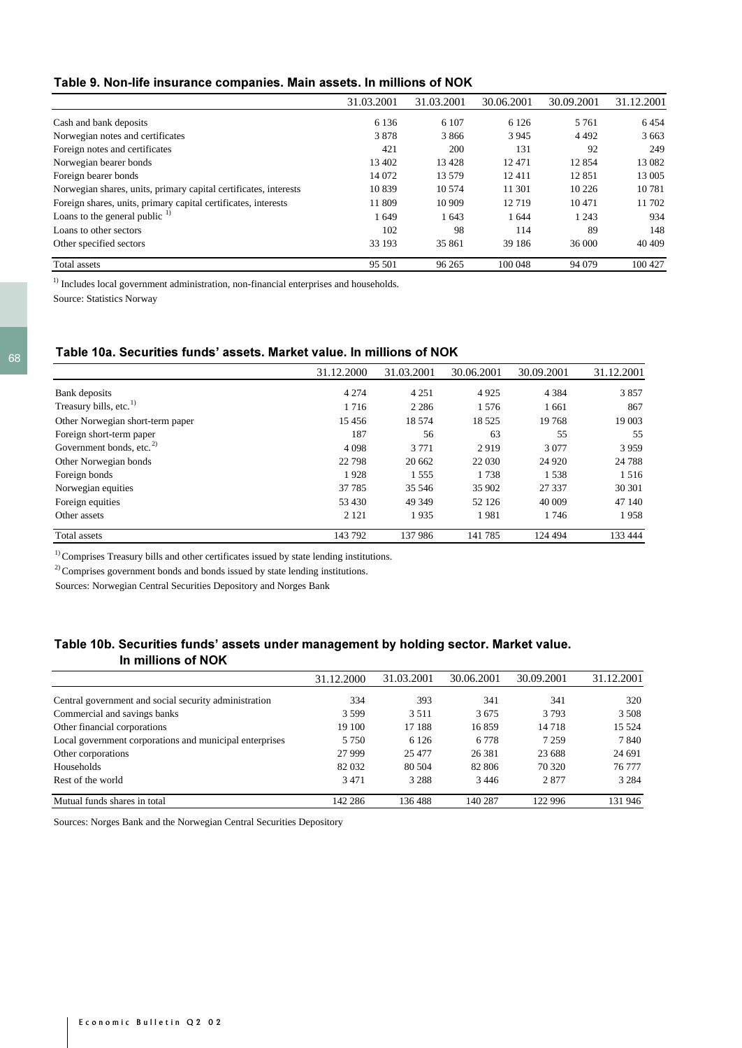#### Table 9. Non-life insurance companies. Main assets. In millions of NOK

|                                                                  | 31.03.2001 | 31.03.2001 | 30.06.2001 | 30.09.2001 | 31.12.2001 |
|------------------------------------------------------------------|------------|------------|------------|------------|------------|
| Cash and bank deposits                                           | 6 1 3 6    | 6 107      | 6 1 2 6    | 5 7 6 1    | 6454       |
| Norwegian notes and certificates                                 | 3878       | 3866       | 3 9 4 5    | 4 4 9 2    | 3 6 6 3    |
| Foreign notes and certificates                                   | 421        | <b>200</b> | 131        | 92         | 249        |
| Norwegian bearer bonds                                           | 13 402     | 13428      | 12471      | 12854      | 13 082     |
| Foreign bearer bonds                                             | 14 072     | 13.579     | 12411      | 12851      | 13 005     |
| Norwegian shares, units, primary capital certificates, interests | 10839      | 10.574     | 11 301     | 10 2 26    | 10781      |
| Foreign shares, units, primary capital certificates, interests   | 11 809     | 10 909     | 12719      | 10471      | 11 702     |
| Loans to the general public $\frac{1}{2}$                        | 1649       | 1643       | 1 644      | 1 2 4 3    | 934        |
| Loans to other sectors                                           | 102        | 98         | 114        | 89         | 148        |
| Other specified sectors                                          | 33 193     | 35 861     | 39 186     | 36 000     | 40 40 9    |
| Total assets                                                     | 95 501     | 96 265     | 100 048    | 94 0 79    | 100 427    |

<sup>1)</sup> Includes local government administration, non-financial enterprises and households.

Source: Statistics Norway

#### Table 10a. Securities funds' assets. Market value. In millions of NOK

|                                      | 31.12.2000 | 31.03.2001 | 30.06.2001 | 30.09.2001 | 31.12.2001 |
|--------------------------------------|------------|------------|------------|------------|------------|
| Bank deposits                        | 4 2 7 4    | 4 2 5 1    | 4925       | 4 3 8 4    | 3857       |
| Treasury bills, etc. <sup>1)</sup>   | 1716       | 2 2 8 6    | 1 5 7 6    | 1661       | 867        |
| Other Norwegian short-term paper     | 15456      | 18 574     | 18 5 25    | 19768      | 19 003     |
| Foreign short-term paper             | 187        | 56         | 63         | 55         | 55         |
| Government bonds, etc. <sup>2)</sup> | 4 0 9 8    | 3 7 7 1    | 2919       | 3 0 7 7    | 3959       |
| Other Norwegian bonds                | 22 798     | 20 662     | 22 030     | 24 9 20    | 24 7 8 8   |
| Foreign bonds                        | 1928       | 1555       | 1738       | 1538       | 1516       |
| Norwegian equities                   | 37 785     | 35 546     | 35 902     | 27 337     | 30 30 1    |
| Foreign equities                     | 53 430     | 49 349     | 52 1 26    | 40 009     | 47 140     |
| Other assets                         | 2 1 2 1    | 1935       | 1981       | 1746       | 1958       |
| Total assets                         | 143 792    | 137 986    | 141785     | 124 494    | 133 444    |

 $^{\rm 1)}$  Comprises Treasury bills and other certificates issued by state lending institutions.

<sup>2)</sup> Comprises government bonds and bonds issued by state lending institutions.

Sources: Norwegian Central Securities Depository and Norges Bank

#### Table 10b. Securities funds' assets under management by holding sector. Market value. **In millions of NOK**

|                                                         | 31.12.2000 | 31.03.2001 | 30.06.2001 | 30.09.2001 | 31.12.2001 |
|---------------------------------------------------------|------------|------------|------------|------------|------------|
| Central government and social security administration   | 334        | 393        | 341        | 341        | 320        |
| Commercial and savings banks                            | 3.599      | 3.511      | 3675       | 3 7 9 3    | 3 5 0 8    |
| Other financial corporations                            | 19 100     | 17 188     | 16859      | 14718      | 15 5 24    |
| Local government corporations and municipal enterprises | 5 7 5 0    | 6 1 2 6    | 6 7 7 8    | 7 2 5 9    | 7 8 4 0    |
| Other corporations                                      | 27 999     | 25 477     | 26.381     | 23 688     | 24 691     |
| Households                                              | 82 0 32    | 80 504     | 82 806     | 70 320     | 76 777     |
| Rest of the world                                       | 3471       | 3 2 8 8    | 3446       | 2877       | 3 2 8 4    |
| Mutual funds shares in total                            | 142 286    | 136488     | 140 287    | 122 996    | 131 946    |

Sources: Norges Bank and the Norwegian Central Securities Depository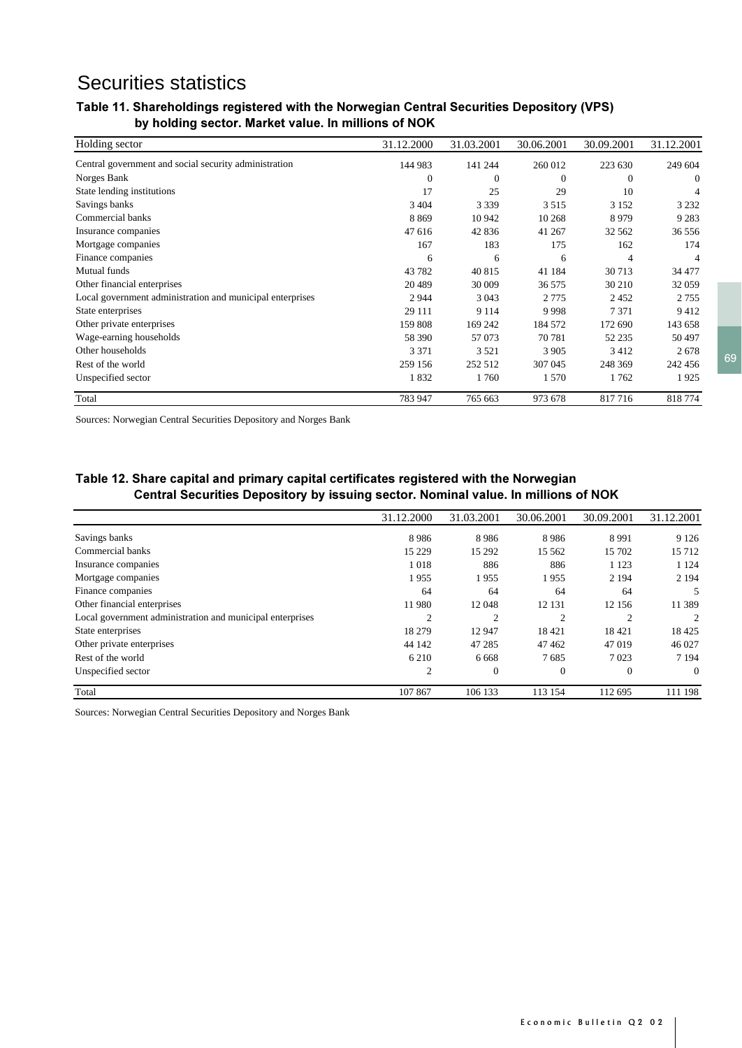## Securities statistics

### Table 11. Shareholdings registered with the Norwegian Central Securities Depository (VPS) by holding sector. Market value. In millions of NOK

| Holding sector                                            | 31.12.2000 | 31.03.2001   | 30.06.2001 | 30.09.2001 | 31.12.2001 |
|-----------------------------------------------------------|------------|--------------|------------|------------|------------|
| Central government and social security administration     | 144 983    | 141 244      | 260 012    | 223 630    | 249 604    |
| Norges Bank                                               | 0          | $\mathbf{0}$ | $\Omega$   | $\Omega$   | $\Omega$   |
| State lending institutions                                | 17         | 25           | 29         | 10         |            |
| Savings banks                                             | 3 4 0 4    | 3 3 3 9      | 3 5 1 5    | 3 1 5 2    | 3 2 3 2    |
| Commercial banks                                          | 8869       | 10 942       | 10 268     | 8979       | 9 2 8 3    |
| Insurance companies                                       | 47 616     | 42 836       | 41 267     | 32 562     | 36 556     |
| Mortgage companies                                        | 167        | 183          | 175        | 162        | 174        |
| Finance companies                                         | 6          | 6            | 6          | 4          | 4          |
| Mutual funds                                              | 43 782     | 40 815       | 41 184     | 30 713     | 34 477     |
| Other financial enterprises                               | 20 4 89    | 30 009       | 36 575     | 30 210     | 32 059     |
| Local government administration and municipal enterprises | 2944       | 3 0 4 3      | 2 7 7 5    | 2452       | 2755       |
| State enterprises                                         | 29 111     | 9 1 1 4      | 9998       | 7371       | 9412       |
| Other private enterprises                                 | 159 808    | 169 242      | 184 572    | 172 690    | 143 658    |
| Wage-earning households                                   | 58 390     | 57 073       | 70 781     | 52 235     | 50 497     |
| Other households                                          | 3 3 7 1    | 3 5 2 1      | 3 9 0 5    | 3412       | 2678       |
| Rest of the world                                         | 259 156    | 252 512      | 307 045    | 248 369    | 242 456    |
| Unspecified sector                                        | 1832       | 1760         | 1 570      | 1762       | 1925       |
| Total                                                     | 783 947    | 765 663      | 973 678    | 817716     | 818774     |

Sources: Norwegian Central Securities Depository and Norges Bank

#### Table 12. Share capital and primary capital certificates registered with the Norwegian Central Securities Depository by issuing sector. Nominal value. In millions of NOK

|                                                           | 31.12.2000     | 31.03.2001     | 30.06.2001     | 30.09.2001     | 31.12.2001     |
|-----------------------------------------------------------|----------------|----------------|----------------|----------------|----------------|
| Savings banks                                             | 8986           | 8986           | 8986           | 8991           | 9 1 2 6        |
| Commercial banks                                          | 15 229         | 15 29 2        | 15 5 6 2       | 15 702         | 15712          |
| Insurance companies                                       | 1018           | 886            | 886            | 1 1 2 3        | 1 1 2 4        |
| Mortgage companies                                        | 1955           | 1955           | 1955           | 2 1 9 4        | 2 1 9 4        |
| Finance companies                                         | 64             | 64             | 64             | 64             |                |
| Other financial enterprises                               | 11 980         | 12 048         | 12 13 1        | 12 15 6        | 11 389         |
| Local government administration and municipal enterprises | $\overline{c}$ | $\overline{c}$ | $\overline{c}$ | $\overline{c}$ | $\overline{c}$ |
| State enterprises                                         | 18 279         | 12947          | 18 4 21        | 18421          | 18 4 25        |
| Other private enterprises                                 | 44 142         | 47 28 5        | 47 4 62        | 47019          | 46 027         |
| Rest of the world                                         | 6 2 1 0        | 6 6 6 8        | 7685           | 7023           | 7 1 9 4        |
| Unspecified sector                                        | 2              | $\overline{0}$ | $\theta$       | $\overline{0}$ | $\theta$       |
| Total                                                     | 107867         | 106 133        | 113 154        | 112 695        | 111 198        |

Sources: Norwegian Central Securities Depository and Norges Bank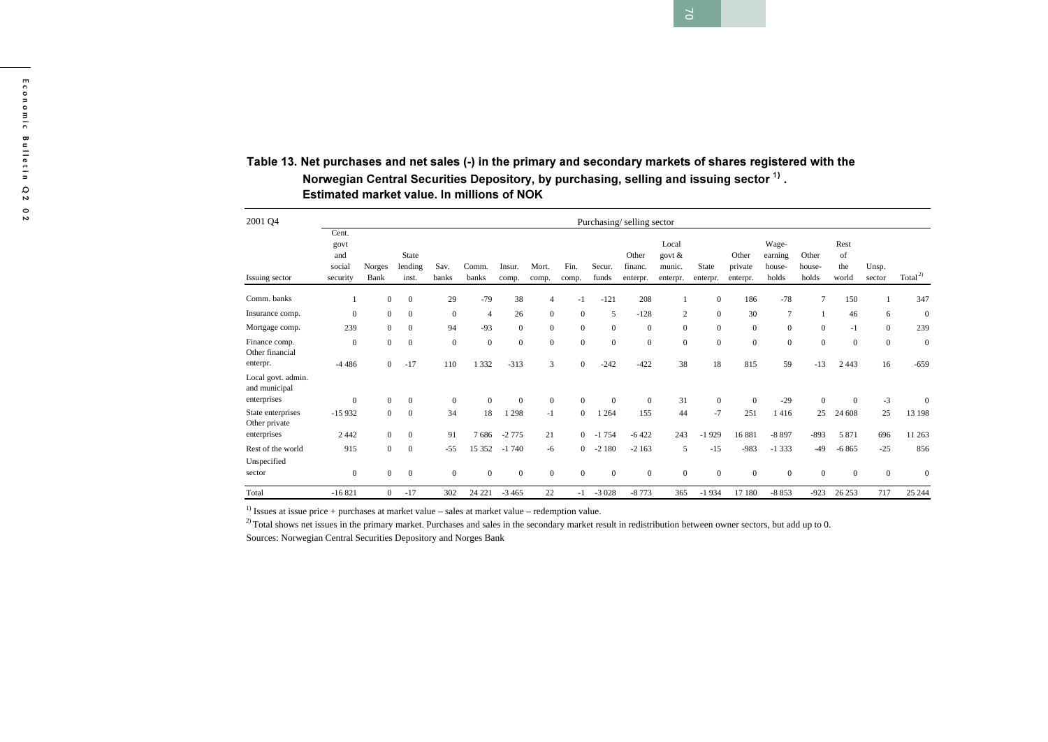#### Table 13. Net purchases and net sales (-) in the primary and secondary markets of shares registered with the Norwegian Central Securities Depository, by purchasing, selling and issuing sector  $^{1)}$  . Estimated market value. In millions of NOK

| 2001 Q4                                            |                                |                |                  |                  |                |              |                |                |                | Purchasing/selling sector |                           |              |                  |                            |                 |                   |                |                     |
|----------------------------------------------------|--------------------------------|----------------|------------------|------------------|----------------|--------------|----------------|----------------|----------------|---------------------------|---------------------------|--------------|------------------|----------------------------|-----------------|-------------------|----------------|---------------------|
|                                                    | Cent.<br>govt<br>and<br>social | Norges         | State<br>lending | Sav.             | Comm.          | Insur.       | Mort.          | Fin.           | Secur.         | Other<br>financ.          | Local<br>govt &<br>munic. | State        | Other<br>private | Wage-<br>earning<br>house- | Other<br>house- | Rest<br>of<br>the | Unsp.          |                     |
| Issuing sector                                     | security                       | Bank           | inst.            | banks            | banks          | comp.        | comp.          | comp.          | funds          | enterpr.                  | enterpr.                  | enterpr.     | enterpr.         | holds                      | holds           | world             | sector         | Total <sup>2)</sup> |
| Comm. banks                                        |                                | $\mathbf{0}$   | $\mathbf{0}$     | 29               | $-79$          | 38           | $\overline{4}$ | $-1$           | $-121$         | 208                       |                           | $\mathbf{0}$ | 186              | $-78$                      | $\overline{7}$  | 150               |                | 347                 |
| Insurance comp.                                    | $\Omega$                       | $\mathbf{0}$   | $\overline{0}$   | $\mathbf{0}$     | $\overline{4}$ | 26           | $\mathbf{0}$   | $\mathbf{0}$   | 5              | $-128$                    | $\overline{2}$            | $\mathbf{0}$ | 30               | $\overline{7}$             |                 | 46                | 6              | $\overline{0}$      |
| Mortgage comp.                                     | 239                            | $\overline{0}$ | $\mathbf{0}$     | 94               | $-93$          | $\mathbf{0}$ | $\mathbf{0}$   | $\mathbf{0}$   | $\overline{0}$ | $\mathbf{0}$              | $\overline{0}$            | $\mathbf{0}$ | $\mathbf{0}$     | $\mathbf{0}$               | $\mathbf{0}$    | $-1$              | $\mathbf{0}$   | 239                 |
| Finance comp.<br>Other financial                   | $\Omega$                       | $\Omega$       | $\overline{0}$   | $\mathbf{0}$     | $\mathbf{0}$   | $\mathbf{0}$ | $\mathbf{0}$   | $\mathbf{0}$   | $\mathbf{0}$   | $\Omega$                  | $\mathbf{0}$              | $\mathbf{0}$ | $\mathbf{0}$     | $\mathbf{0}$               | $\mathbf{0}$    | $\mathbf{0}$      | $\overline{0}$ | $\mathbf{0}$        |
| enterpr.                                           | $-4486$                        | $\overline{0}$ | $-17$            | 110              | 1 3 3 2        | $-313$       | 3              | $\mathbf{0}$   | $-242$         | $-422$                    | 38                        | 18           | 815              | 59                         | $-13$           | 2 4 4 3           | 16             | $-659$              |
| Local govt. admin.<br>and municipal<br>enterprises | $\Omega$                       | $\Omega$       | $\overline{0}$   | $\mathbf{0}$     | $\mathbf{0}$   | $\Omega$     | $\mathbf{0}$   | $\mathbf{0}$   | $\Omega$       | $\Omega$                  | 31                        | $\mathbf{0}$ | $\mathbf{0}$     | $-29$                      | $\mathbf{0}$    | $\Omega$          | $-3$           | $\Omega$            |
| State enterprises<br>Other private                 | $-15932$                       | $\overline{0}$ | $\overline{0}$   | 34               | 18             | 1 2 9 8      | $-1$           | $\Omega$       | 1 2 6 4        | 155                       | 44                        | $-7$         | 251              | 1416                       | 25              | 24 608            | 25             | 13 198              |
| enterprises                                        | 2442                           | $\overline{0}$ | $\overline{0}$   | 91               | 7686           | $-2775$      | 21             | $\overline{0}$ | $-1754$        | $-6422$                   | 243                       | $-1929$      | 16881            | $-8897$                    | $-893$          | 5 8 7 1           | 696            | 11 263              |
| Rest of the world<br>Unspecified                   | 915                            | $\mathbf{0}$   | $\mathbf{0}$     | $-55$            | 15 3 5 2       | $-1740$      | -6             | $\overline{0}$ | $-2180$        | $-2163$                   | 5                         | $-15$        | $-983$           | $-1333$                    | $-49$           | $-6865$           | $-25$          | 856                 |
| sector                                             | $\overline{0}$                 | $\mathbf{0}$   | $\overline{0}$   | $\boldsymbol{0}$ | $\mathbf{0}$   | $\mathbf{0}$ | $\mathbf{0}$   | $\mathbf{0}$   | $\overline{0}$ | $\overline{0}$            | $\mathbf{0}$              | $\mathbf{0}$ | $\mathbf{0}$     | $\mathbf{0}$               | $\mathbf{0}$    | $\mathbf{0}$      | $\theta$       | $\mathbf{0}$        |
| Total                                              | $-16821$                       | $\mathbf{0}$   | $-17$            | 302              | 24 221         | $-3465$      | 22             | -1             | $-3028$        | $-8773$                   | 365                       | $-1934$      | 17 180           | $-8853$                    | $-923$          | 26 25 3           | 717            | 25 244              |

<sup>1)</sup> Issues at issue price + purchases at market value – sales at market value – redemption value.

 $^{2)}$  Total shows net issues in the primary market. Purchases and sales in the secondary market result in redistribution between owner sectors, but add up to 0.

Sources: Norwegian Central Securities Depository and Norges Bank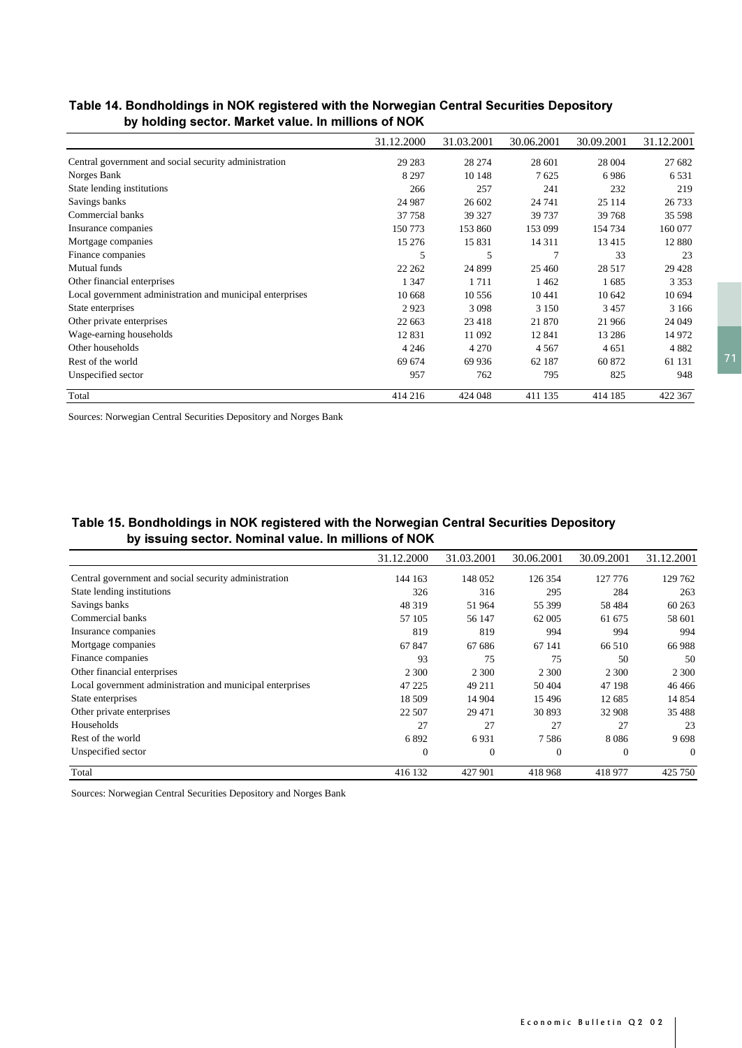|                                                           | 31.12.2000 | 31.03.2001 | 30.06.2001 | 30.09.2001 | 31.12.2001 |
|-----------------------------------------------------------|------------|------------|------------|------------|------------|
| Central government and social security administration     | 29 28 3    | 28 274     | 28 601     | 28 004     | 27 682     |
| Norges Bank                                               | 8 2 9 7    | 10 148     | 7625       | 6986       | 6 5 3 1    |
| State lending institutions                                | 266        | 257        | 241        | 232        | 219        |
| Savings banks                                             | 24 987     | 26 602     | 24 741     | 25 1 14    | 26 733     |
| Commercial banks                                          | 37 758     | 39 327     | 39 737     | 39 768     | 35 598     |
| Insurance companies                                       | 150 773    | 153 860    | 153 099    | 154 734    | 160 077    |
| Mortgage companies                                        | 15 276     | 15 831     | 14 3 11    | 13 4 15    | 12 880     |
| Finance companies                                         | 5          | 5          | 7          | 33         | 23         |
| Mutual funds                                              | 22 262     | 24 899     | 25 460     | 28 5 17    | 29 4 28    |
| Other financial enterprises                               | 1 3 4 7    | 1711       | 1 4 6 2    | 1685       | 3 3 5 3    |
| Local government administration and municipal enterprises | 10 668     | 10 556     | 10441      | 10 642     | 10 694     |
| State enterprises                                         | 2923       | 3 0 9 8    | 3 1 5 0    | 3457       | 3 1 6 6    |
| Other private enterprises                                 | 22 663     | 23 418     | 21 870     | 21 966     | 24 049     |
| Wage-earning households                                   | 12 8 31    | 11 092     | 12 841     | 13 2 8 6   | 14 972     |
| Other households                                          | 4 2 4 6    | 4 2 7 0    | 4 5 6 7    | 4 6 5 1    | 4 8 8 2    |
| Rest of the world                                         | 69 674     | 69 9 36    | 62 187     | 60 872     | 61 131     |
| Unspecified sector                                        | 957        | 762        | 795        | 825        | 948        |
| Total                                                     | 414 216    | 424 048    | 411 135    | 414 185    | 422 367    |

#### Table 14. Bondholdings in NOK registered with the Norwegian Central Securities Depository by holding sector. Market value. In millions of NOK

Sources: Norwegian Central Securities Depository and Norges Bank

### Table 15. Bondholdings in NOK registered with the Norwegian Central Securities Depository by issuing sector. Nominal value. In millions of NOK

|                                                           | 31.12.2000 | 31.03.2001 | 30.06.2001 | 30.09.2001 | 31.12.2001 |
|-----------------------------------------------------------|------------|------------|------------|------------|------------|
| Central government and social security administration     | 144 163    | 148 052    | 126 354    | 127 776    | 129 762    |
| State lending institutions                                | 326        | 316        | 295        | 284        | 263        |
| Savings banks                                             | 48 319     | 51964      | 55 399     | 58 4 84    | 60 263     |
| Commercial banks                                          | 57 105     | 56 147     | 62 005     | 61 675     | 58 601     |
| Insurance companies                                       | 819        | 819        | 994        | 994        | 994        |
| Mortgage companies                                        | 67847      | 67 686     | 67 141     | 66 510     | 66 988     |
| Finance companies                                         | 93         | 75         | 75         | 50         | 50         |
| Other financial enterprises                               | 2 3 0 0    | 2 3 0 0    | 2 3 0 0    | 2 3 0 0    | 2 3 0 0    |
| Local government administration and municipal enterprises | 47 225     | 49 211     | 50 404     | 47 198     | 46 4 66    |
| State enterprises                                         | 18 509     | 14 904     | 15496      | 12 685     | 14 854     |
| Other private enterprises                                 | 22 507     | 29 471     | 30 893     | 32 908     | 35 488     |
| Households                                                | 27         | 27         | 27         | 27         | 23         |
| Rest of the world                                         | 6892       | 6931       | 7 5 8 6    | 8086       | 9698       |
| Unspecified sector                                        | $\Omega$   | $\Omega$   | $\Omega$   | $\Omega$   | $\Omega$   |
| Total                                                     | 416 132    | 427 901    | 418 968    | 418 977    | 425 750    |

Sources: Norwegian Central Securities Depository and Norges Bank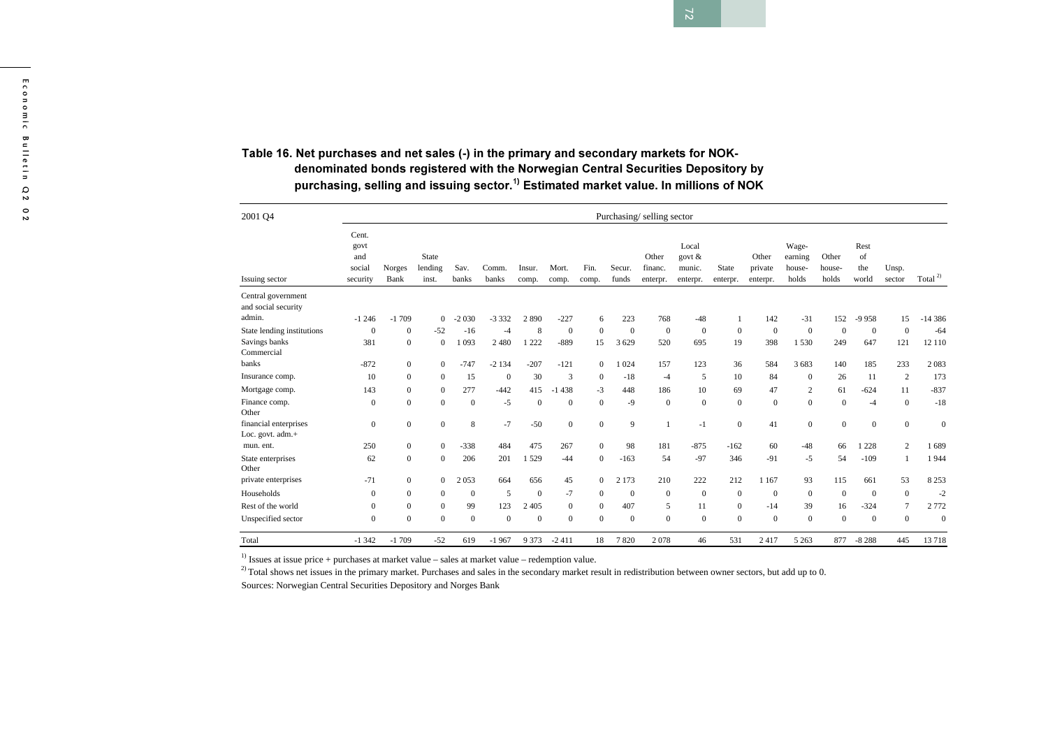#### Table 16. Net purchases and net sales (-) in the primary and secondary markets for NOKdenominated bonds registered with the Norwegian Central Securities Depository by purchasing, selling and issuing sector.<sup>1)</sup> Estimated market value. In millions of NOK

| 2001 O <sub>4</sub>                                       |                                            |                     |                           |                  |                |                 |                          |                     |                     | Purchasing/selling sector    |                                          |                   |                              |                                     |                          |                            |                    |                   |
|-----------------------------------------------------------|--------------------------------------------|---------------------|---------------------------|------------------|----------------|-----------------|--------------------------|---------------------|---------------------|------------------------------|------------------------------------------|-------------------|------------------------------|-------------------------------------|--------------------------|----------------------------|--------------------|-------------------|
| Issuing sector                                            | Cent.<br>govt<br>and<br>social<br>security | Norges<br>Bank      | State<br>lending<br>inst. | Sav.<br>banks    | Comm.<br>banks | Insur.<br>comp. | Mort.<br>comp.           | Fin.<br>comp.       | Secur.<br>funds     | Other<br>financ.<br>enterpr. | Local<br>govt $\&$<br>munic.<br>enterpr. | State<br>enterpr. | Other<br>private<br>enterpr. | Wage-<br>earning<br>house-<br>holds | Other<br>house-<br>holds | Rest<br>of<br>the<br>world | Unsp.<br>sector    | Total $^{2)}$     |
| Central government<br>and social security<br>admin.       |                                            |                     |                           |                  |                |                 |                          |                     |                     |                              |                                          |                   |                              |                                     |                          |                            |                    |                   |
|                                                           | $-1246$<br>$\Omega$                        | $-1709$<br>$\Omega$ | $\Omega$<br>$-52$         | $-2030$<br>$-16$ | $-3332$        | 2890<br>8       | $-227$<br>$\overline{0}$ | 6<br>$\overline{0}$ | 223<br>$\mathbf{0}$ | 768<br>$\mathbf{0}$          | $-48$<br>$\overline{0}$                  | $\mathbf{0}$      | 142<br>$\overline{0}$        | $-31$<br>$\mathbf{0}$               | 152<br>$\Omega$          | $-9958$<br>$\overline{0}$  | 15<br>$\mathbf{0}$ | $-14386$<br>$-64$ |
| State lending institutions<br>Savings banks<br>Commercial | 381                                        | $\mathbf{0}$        | $\mathbf{0}$              | 093              | -4<br>2480     | 1 2 2 2         | $-889$                   | 15                  | 3629                | 520                          | 695                                      | 19                | 398                          | 1530                                | 249                      | 647                        | 121                | 12 110            |
| banks                                                     | $-872$                                     | $\mathbf{0}$        | $\overline{0}$            | $-747$           | $-2134$        | $-207$          | $-121$                   | $\overline{0}$      | 1 0 2 4             | 157                          | 123                                      | 36                | 584                          | 3683                                | 140                      | 185                        | 233                | 2 0 8 3           |
| Insurance comp.                                           | 10                                         | $\Omega$            | $\Omega$                  | 15               | $\mathbf{0}$   | 30              | 3                        | $\mathbf{0}$        | $-18$               | $-4$                         | 5                                        | 10                | 84                           | $\Omega$                            | 26                       | 11                         | $\overline{c}$     | 173               |
| Mortgage comp.                                            | 143                                        | $\mathbf{0}$        | $\mathbf{0}$              | 277              | $-442$         | 415             | $-1438$                  | $-3$                | 448                 | 186                          | 10                                       | 69                | 47                           | 2                                   | 61                       | $-624$                     | 11                 | $-837$            |
| Finance comp.<br>Other                                    | $\mathbf{0}$                               | $\mathbf{0}$        | $\mathbf{0}$              | $\mathbf{0}$     | $-5$           | $\mathbf{0}$    | $\mathbf{0}$             | $\overline{0}$      | $-9$                | $\overline{0}$               | $\mathbf{0}$                             | $\mathbf{0}$      | $\mathbf{0}$                 | $\overline{0}$                      | $\mathbf{0}$             | $-4$                       | $\mathbf{0}$       | $-18$             |
| financial enterprises<br>Loc. govt. adm.+                 | $\mathbf{0}$                               | $\mathbf{0}$        | $\mathbf{0}$              | 8                | $-7$           | $-50$           | $\overline{0}$           | $\overline{0}$      | 9                   |                              | $-1$                                     | $\mathbf{0}$      | 41                           | $\overline{0}$                      | $\mathbf{0}$             | $\mathbf{0}$               | $\mathbf{0}$       | $\mathbf{0}$      |
| mun. ent.                                                 | 250                                        | $\mathbf{0}$        | $\overline{0}$            | $-338$           | 484            | 475             | 267                      | $\overline{0}$      | 98                  | 181                          | $-875$                                   | $-162$            | 60                           | $-48$                               | 66                       | 1 2 2 8                    | $\boldsymbol{2}$   | 1689              |
| State enterprises<br>Other                                | 62                                         | $\Omega$            | $\mathbf{0}$              | 206              | 201            | 1529            | $-44$                    | 0                   | $-163$              | 54                           | $-97$                                    | 346               | $-91$                        | $-5$                                | 54                       | $-109$                     | $\mathbf{1}$       | 1944              |
| private enterprises                                       | $-71$                                      | $\Omega$            | $\overline{0}$            | 2053             | 664            | 656             | 45                       | $\overline{0}$      | 2 1 7 3             | 210                          | 222                                      | 212               | 1 1 6 7                      | 93                                  | 115                      | 661                        | 53                 | 8 2 5 3           |
| Households                                                | $\Omega$                                   | $\Omega$            | $\Omega$                  | $\mathbf{0}$     | 5              | $\Omega$        | $-7$                     | $\Omega$            | $\Omega$            | $\Omega$                     | $\overline{0}$                           | $\mathbf{0}$      | $\mathbf{0}$                 | $\mathbf{0}$                        | $\Omega$                 | $\Omega$                   | $\mathbf{0}$       | $-2$              |
| Rest of the world                                         | $\mathbf{0}$                               | $\Omega$            | $\Omega$                  | 99               | 123            | 2405            | $\overline{0}$           | $\overline{0}$      | 407                 | 5                            | 11                                       | $\theta$          | $-14$                        | 39                                  | 16                       | $-324$                     | $\overline{7}$     | 2 7 7 2           |
| Unspecified sector                                        | $\mathbf{0}$                               | $\Omega$            | $\mathbf{0}$              | $\mathbf{0}$     | $\mathbf{0}$   | $\mathbf{0}$    | $\mathbf{0}$             | $\overline{0}$      | $\mathbf{0}$        | $\overline{0}$               | $\mathbf{0}$                             | $\mathbf{0}$      | $\mathbf{0}$                 | $\mathbf{0}$                        | $\mathbf{0}$             | $\mathbf{0}$               | $\mathbf{0}$       | $\overline{0}$    |
| Total                                                     | $-1342$                                    | $-1709$             | $-52$                     | 619              | $-1967$        | 9373            | $-2411$                  | 18                  | 7820                | 2078                         | 46                                       | 531               | 2417                         | 5 2 6 3                             | 877                      | $-8288$                    | 445                | 13718             |

 $1)$  Issues at issue price + purchases at market value – sales at market value – redemption value.

<sup>2)</sup> Total shows net issues in the primary market. Purchases and sales in the secondary market result in redistribution between owner sectors, but add up to 0. Sources: Norwegian Central Securities Depository and Norges Bank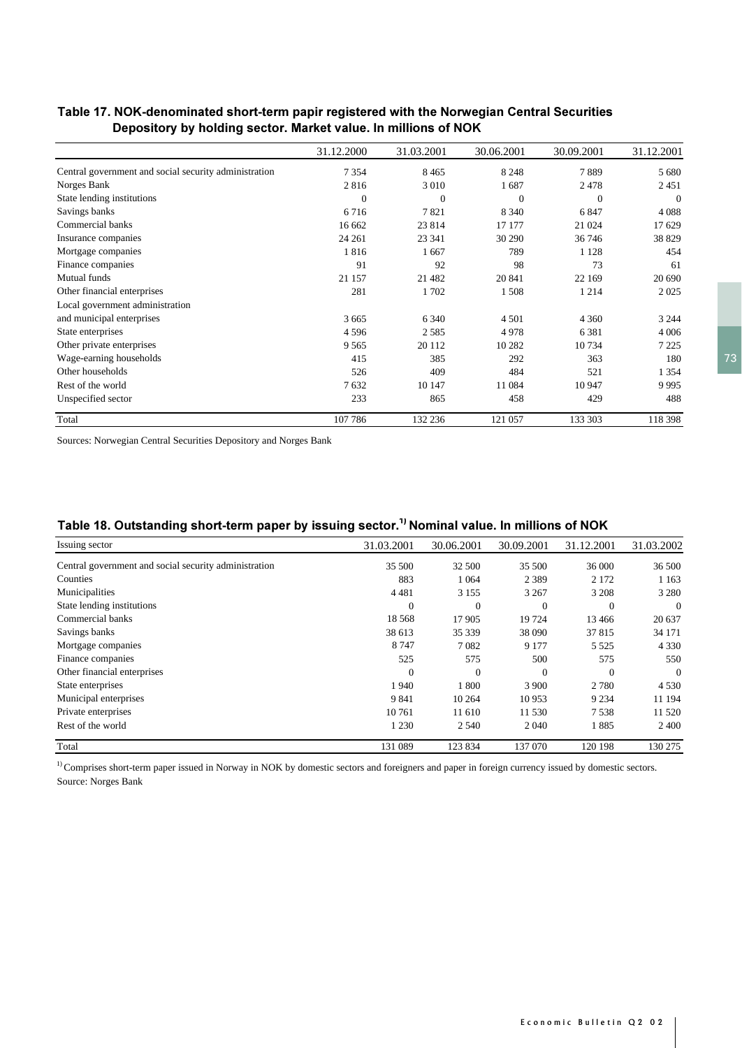|                                                       | 31.12.2000 | 31.03.2001 | 30.06.2001 | 30.09.2001 | 31.12.2001 |
|-------------------------------------------------------|------------|------------|------------|------------|------------|
| Central government and social security administration | 7 3 5 4    | 8465       | 8 2 4 8    | 7889       | 5 680      |
| Norges Bank                                           | 2816       | 3 0 1 0    | 1687       | 2478       | 2451       |
| State lending institutions                            | $\Omega$   | $\theta$   | $\Omega$   | $\Omega$   | $\Omega$   |
| Savings banks                                         | 6716       | 7821       | 8 3 4 0    | 6847       | 4088       |
| Commercial banks                                      | 16 662     | 23 814     | 17 177     | 21 024     | 17 629     |
| Insurance companies                                   | 24 261     | 23 341     | 30 290     | 36 746     | 38 829     |
| Mortgage companies                                    | 1816       | 1667       | 789        | 1 1 2 8    | 454        |
| Finance companies                                     | 91         | 92         | 98         | 73         | 61         |
| Mutual funds                                          | 21 157     | 21 4 8 2   | 20 841     | 22 169     | 20 690     |
| Other financial enterprises                           | 281        | 1702       | 1508       | 1 2 1 4    | 2025       |
| Local government administration                       |            |            |            |            |            |
| and municipal enterprises                             | 3 6 6 5    | 6 3 4 0    | 4 5 0 1    | 4 3 6 0    | 3 2 4 4    |
| State enterprises                                     | 4596       | 2585       | 4978       | 6 3 8 1    | 4 0 0 6    |
| Other private enterprises                             | 9565       | 20 112     | 10 282     | 10734      | 7 2 2 5    |
| Wage-earning households                               | 415        | 385        | 292        | 363        | 180        |
| Other households                                      | 526        | 409        | 484        | 521        | 1 3 5 4    |
| Rest of the world                                     | 7632       | 10 147     | 11 084     | 10 947     | 9995       |
| Unspecified sector                                    | 233        | 865        | 458        | 429        | 488        |
| Total                                                 | 107 786    | 132 236    | 121 057    | 133 303    | 118 398    |

#### Table 17. NOK-denominated short-term papir registered with the Norwegian Central Securities Depository by holding sector. Market value. In millions of NOK

Sources: Norwegian Central Securities Depository and Norges Bank

#### Table 18. Outstanding short-term paper by issuing sector. $^{\textrm{\tiny{11}}}$ Nominal value. In millions of NOK

| Issuing sector                                        | 31.03.2001   | 30.06.2001 | 30.09.2001 | 31.12.2001   | 31.03.2002   |
|-------------------------------------------------------|--------------|------------|------------|--------------|--------------|
| Central government and social security administration | 35 500       | 32 500     | 35 500     | 36 000       | 36 500       |
| Counties                                              | 883          | 1 0 6 4    | 2 3 8 9    | 2 1 7 2      | 1 1 6 3      |
| Municipalities                                        | 4481         | 3 1 5 5    | 3 2 6 7    | 3 2 0 8      | 3 2 8 0      |
| State lending institutions                            | $\theta$     | $\theta$   | $\theta$   | $\mathbf{0}$ | $\mathbf{0}$ |
| Commercial banks                                      | 18 5 68      | 17 905     | 19 724     | 13466        | 20 637       |
| Savings banks                                         | 38 613       | 35 339     | 38 090     | 37 815       | 34 171       |
| Mortgage companies                                    | 8 7 4 7      | 7082       | 9 1 7 7    | 5 5 2 5      | 4 3 3 0      |
| Finance companies                                     | 525          | 575        | 500        | 575          | 550          |
| Other financial enterprises                           | $\mathbf{0}$ | $\theta$   | $\Omega$   | $\Omega$     | $\theta$     |
| State enterprises                                     | 1940         | 1800       | 3 9 0 0    | 2 7 8 0      | 4 5 3 0      |
| Municipal enterprises                                 | 9841         | 10 264     | 10953      | 9 2 3 4      | 11 194       |
| Private enterprises                                   | 10761        | 11 610     | 11 530     | 7538         | 11 5 20      |
| Rest of the world                                     | 1 2 3 0      | 2 5 4 0    | 2 0 4 0    | 1885         | 2 4 0 0      |
| Total                                                 | 131 089      | 123 834    | 137 070    | 120 198      | 130 275      |

<sup>1)</sup> Comprises short-term paper issued in Norway in NOK by domestic sectors and foreigners and paper in foreign currency issued by domestic sectors. Source: Norges Bank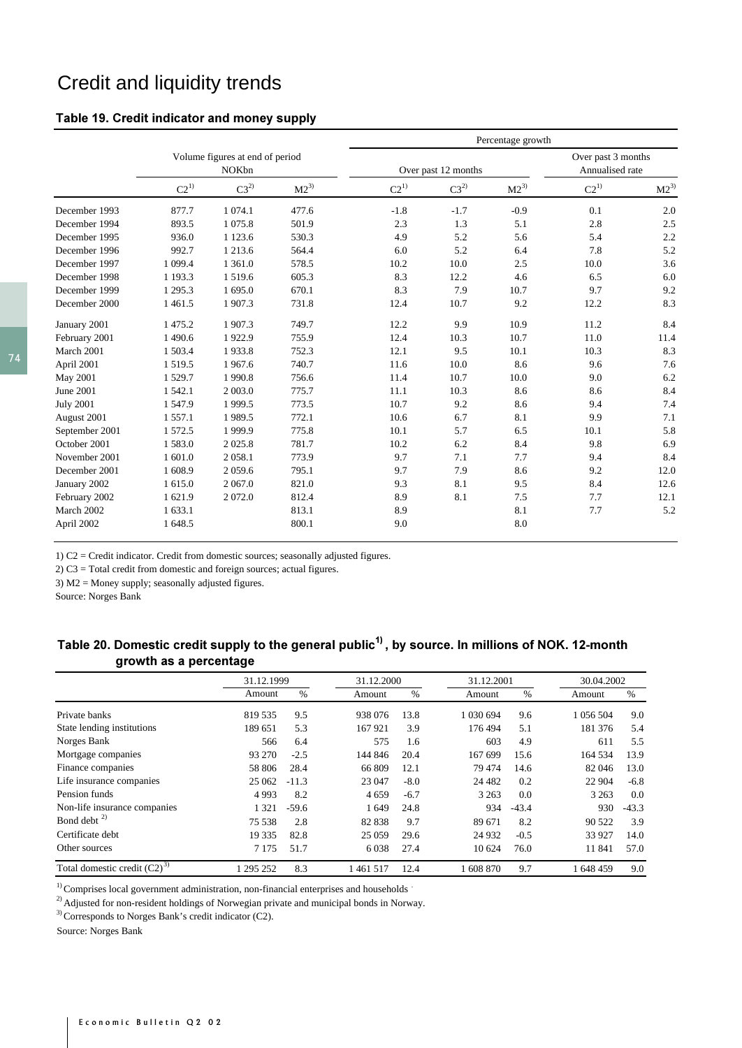## Credit and liquidity trends

#### Table 19. Credit indicator and money supply

|                  |            |                                                 |           |           |                     | Percentage growth |                                       |           |
|------------------|------------|-------------------------------------------------|-----------|-----------|---------------------|-------------------|---------------------------------------|-----------|
|                  |            | Volume figures at end of period<br><b>NOKbn</b> |           |           | Over past 12 months |                   | Over past 3 months<br>Annualised rate |           |
|                  | $C2^{1)}$  | $C3^{2)}$                                       | $M2^{3)}$ | $C2^{1)}$ | $C3^{2)}$           | $M2^{3)}$         | $C2^{1)}$                             | $M2^{3)}$ |
| December 1993    | 877.7      | 1 0 74.1                                        | 477.6     | $-1.8$    | $-1.7$              | $-0.9$            | 0.1                                   | 2.0       |
| December 1994    | 893.5      | 1 0 7 5 .8                                      | 501.9     | 2.3       | 1.3                 | 5.1               | 2.8                                   | 2.5       |
| December 1995    | 936.0      | 1 1 2 3 . 6                                     | 530.3     | 4.9       | 5.2                 | 5.6               | 5.4                                   | 2.2       |
| December 1996    | 992.7      | 1 2 1 3 .6                                      | 564.4     | 6.0       | 5.2                 | 6.4               | 7.8                                   | 5.2       |
| December 1997    | 1 0 9 9.4  | 1 3 6 1 .0                                      | 578.5     | 10.2      | 10.0                | 2.5               | 10.0                                  | 3.6       |
| December 1998    | 1 193.3    | 1519.6                                          | 605.3     | 8.3       | 12.2                | 4.6               | 6.5                                   | 6.0       |
| December 1999    | 1 295.3    | 1695.0                                          | 670.1     | 8.3       | 7.9                 | 10.7              | 9.7                                   | 9.2       |
| December 2000    | 1 4 6 1 .5 | 1 907.3                                         | 731.8     | 12.4      | 10.7                | 9.2               | 12.2                                  | 8.3       |
| January 2001     | 1 475.2    | 1907.3                                          | 749.7     | 12.2      | 9.9                 | 10.9              | 11.2                                  | 8.4       |
| February 2001    | 1 490.6    | 1922.9                                          | 755.9     | 12.4      | 10.3                | 10.7              | 11.0                                  | 11.4      |
| March 2001       | 1 503.4    | 1933.8                                          | 752.3     | 12.1      | 9.5                 | 10.1              | 10.3                                  | 8.3       |
| April 2001       | 1519.5     | 1967.6                                          | 740.7     | 11.6      | 10.0                | 8.6               | 9.6                                   | 7.6       |
| May 2001         | 1529.7     | 1990.8                                          | 756.6     | 11.4      | 10.7                | 10.0              | 9.0                                   | 6.2       |
| June 2001        | 1 542.1    | 2 003.0                                         | 775.7     | 11.1      | 10.3                | 8.6               | 8.6                                   | 8.4       |
| <b>July 2001</b> | 1547.9     | 1 9 9 9.5                                       | 773.5     | 10.7      | 9.2                 | 8.6               | 9.4                                   | 7.4       |
| August 2001      | 1 5 5 7 .1 | 1989.5                                          | 772.1     | 10.6      | 6.7                 | 8.1               | 9.9                                   | 7.1       |
| September 2001   | 1 572.5    | 1999.9                                          | 775.8     | 10.1      | 5.7                 | 6.5               | 10.1                                  | 5.8       |
| October 2001     | 1583.0     | 2 0 2 5 .8                                      | 781.7     | 10.2      | 6.2                 | 8.4               | 9.8                                   | 6.9       |
| November 2001    | 1 601.0    | 2 0 58.1                                        | 773.9     | 9.7       | 7.1                 | 7.7               | 9.4                                   | 8.4       |
| December 2001    | 1 608.9    | 2 0 5 9.6                                       | 795.1     | 9.7       | 7.9                 | 8.6               | 9.2                                   | 12.0      |
| January 2002     | 1 615.0    | 2 0 6 7 .0                                      | 821.0     | 9.3       | 8.1                 | 9.5               | 8.4                                   | 12.6      |
| February 2002    | 1 621.9    | 2 0 7 2 .0                                      | 812.4     | 8.9       | 8.1                 | 7.5               | 7.7                                   | 12.1      |
| March 2002       | 1 633.1    |                                                 | 813.1     | 8.9       |                     | 8.1               | 7.7                                   | 5.2       |
| April 2002       | 1 648.5    |                                                 | 800.1     | 9.0       |                     | 8.0               |                                       |           |

1) C2 = Credit indicator. Credit from domestic sources; seasonally adjusted figures.

2) C3 = Total credit from domestic and foreign sources; actual figures.

3) M2 = Money supply; seasonally adjusted figures.

Source: Norges Bank

### Table 20. Domestic credit supply to the general public $^{\mathsf{1}\mathsf{1}},$  by source. In millions of NOK. 12-month growth as a percentage

|                                  | 31.12.1999 |               | 31.12.2000 |               | 31.12.2001 |         | 30.04.2002 |         |
|----------------------------------|------------|---------------|------------|---------------|------------|---------|------------|---------|
|                                  | Amount     | $\frac{0}{0}$ | Amount     | $\frac{0}{0}$ | Amount     | $\%$    | Amount     | $\%$    |
| Private banks                    | 819 535    | 9.5           | 938 076    | 13.8          | 1 030 694  | 9.6     | 1 056 504  | 9.0     |
| State lending institutions       | 189 651    | 5.3           | 167 921    | 3.9           | 176494     | 5.1     | 181 376    | 5.4     |
| Norges Bank                      | 566        | 6.4           | 575        | 1.6           | 603        | 4.9     | 611        | 5.5     |
| Mortgage companies               | 93 270     | $-2.5$        | 144 846    | 20.4          | 167 699    | 15.6    | 164 534    | 13.9    |
| Finance companies                | 58 806     | 28.4          | 66 809     | 12.1          | 79 474     | 14.6    | 82 046     | 13.0    |
| Life insurance companies         | 25 062     | $-11.3$       | 23 047     | $-8.0$        | 24 4 8 2   | 0.2     | 22 904     | $-6.8$  |
| Pension funds                    | 4 9 9 3    | 8.2           | 4 6 5 9    | $-6.7$        | 3 2 6 3    | 0.0     | 3 2 6 3    | 0.0     |
| Non-life insurance companies     | 1 3 2 1    | $-59.6$       | 1 649      | 24.8          | 934        | $-43.4$ | 930        | $-43.3$ |
| Bond debt $^{2)}$                | 75 538     | 2.8           | 82838      | 9.7           | 89 671     | 8.2     | 90 522     | 3.9     |
| Certificate debt                 | 19 3 35    | 82.8          | 25 0 59    | 29.6          | 24 9 32    | $-0.5$  | 33 9 27    | 14.0    |
| Other sources                    | 7 1 7 5    | 51.7          | 6 0 38     | 27.4          | 10 624     | 76.0    | 11841      | 57.0    |
| Total domestic credit $(C2)^{3}$ | 295 252    | 8.3           | 1461517    | 12.4          | 608 870    | 9.7     | 648459     | 9.0     |

 $^{1)}$  Comprises local government administration, non-financial enterprises and households

<sup>2)</sup> Adjusted for non-resident holdings of Norwegian private and municipal bonds in Norway.

<sup>3)</sup> Corresponds to Norges Bank's credit indicator (C2).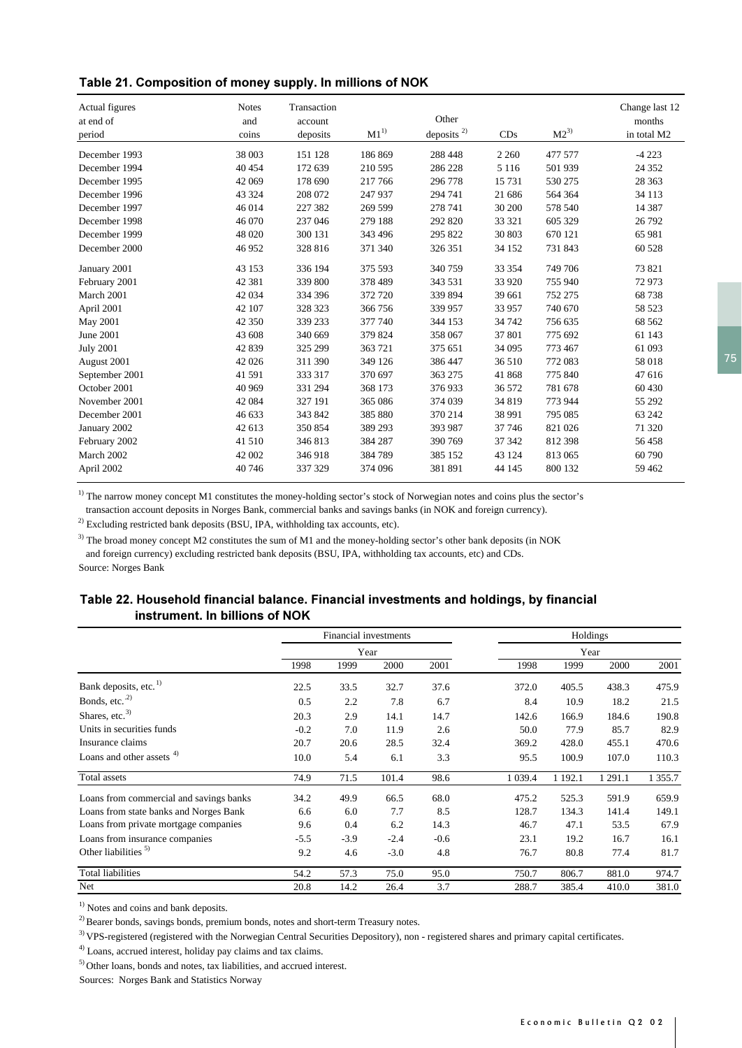|  | Table 21. Composition of money supply. In millions of NOK |  |
|--|-----------------------------------------------------------|--|
|  |                                                           |  |

| Actual figures<br>at end of<br>period | <b>Notes</b><br>and<br>coins | Transaction<br>account<br>deposits | $M1^{1}$ | Other<br>deposits $2$ | CDs     | $M2^{3)}$ | Change last 12<br>months<br>in total M2 |
|---------------------------------------|------------------------------|------------------------------------|----------|-----------------------|---------|-----------|-----------------------------------------|
| December 1993                         | 38 003                       | 151 128                            | 186869   | 288 448               | 2 2 6 0 | 477 577   | $-4223$                                 |
| December 1994                         | 40 4 54                      | 172 639                            | 210 595  | 286 228               | 5 1 1 6 | 501 939   | 24 3 5 2                                |
| December 1995                         | 42 069                       | 178 690                            | 217 766  | 296 778               | 15 731  | 530 275   | 28 3 63                                 |
| December 1996                         | 43 3 24                      | 208 072                            | 247 937  | 294 741               | 21 686  | 564 364   | 34 113                                  |
| December 1997                         | 46 014                       | 227 382                            | 269 599  | 278 741               | 30 200  | 578 540   | 14 3 8 7                                |
| December 1998                         | 46 070                       | 237 046                            | 279 188  | 292 820               | 33 321  | 605 329   | 26 792                                  |
| December 1999                         | 48 0 20                      | 300 131                            | 343 496  | 295 822               | 30 803  | 670 121   | 65 981                                  |
| December 2000                         | 46 952                       | 328 816                            | 371 340  | 326 351               | 34 152  | 731 843   | 60 528                                  |
| January 2001                          | 43 153                       | 336 194                            | 375 593  | 340 759               | 33 354  | 749 706   | 73 821                                  |
| February 2001                         | 42 381                       | 339 800                            | 378 489  | 343 531               | 33 9 20 | 755 940   | 72973                                   |
| March 2001                            | 42 034                       | 334 396                            | 372 720  | 339 894               | 39 661  | 752 275   | 68738                                   |
| April 2001                            | 42 107                       | 328 323                            | 366 756  | 339 957               | 33 957  | 740 670   | 58 523                                  |
| May 2001                              | 42 350                       | 339 233                            | 377 740  | 344 153               | 34 742  | 756 635   | 68 5 62                                 |
| June 2001                             | 43 608                       | 340 669                            | 379 824  | 358 067               | 37 801  | 775 692   | 61 143                                  |
| <b>July 2001</b>                      | 42 839                       | 325 299                            | 363721   | 375 651               | 34 095  | 773 467   | 61 093                                  |
| August 2001                           | 42 0 26                      | 311 390                            | 349 126  | 386 447               | 36 510  | 772 083   | 58 018                                  |
| September 2001                        | 41 591                       | 333 317                            | 370 697  | 363 275               | 41 868  | 775 840   | 47 616                                  |
| October 2001                          | 40 9 69                      | 331 294                            | 368 173  | 376933                | 36 572  | 781 678   | 60 430                                  |
| November 2001                         | 42 0 84                      | 327 191                            | 365 086  | 374 039               | 34 819  | 773 944   | 55 292                                  |
| December 2001                         | 46 633                       | 343 842                            | 385 880  | 370 214               | 38 991  | 795 085   | 63 24 2                                 |
| January 2002                          | 42 613                       | 350 854                            | 389 293  | 393 987               | 37 746  | 821 026   | 71 320                                  |
| February 2002                         | 41 510                       | 346 813                            | 384 287  | 390 769               | 37 342  | 812 398   | 56458                                   |
| March 2002                            | 42 002                       | 346 918                            | 384789   | 385 152               | 43 124  | 813 065   | 60 790                                  |
| April 2002                            | 40746                        | 337 329                            | 374 096  | 381891                | 44 145  | 800 132   | 59 4 62                                 |

<sup>1)</sup> The narrow money concept M1 constitutes the money-holding sector's stock of Norwegian notes and coins plus the sector's

transaction account deposits in Norges Bank, commercial banks and savings banks (in NOK and foreign currency).

<sup>2)</sup> Excluding restricted bank deposits (BSU, IPA, withholding tax accounts, etc).

Source: Norges Bank <sup>3)</sup> The broad money concept M2 constitutes the sum of M1 and the money-holding sector's other bank deposits (in NOK and foreign currency) excluding restricted bank deposits (BSU, IPA, withholding tax accounts, etc) and CDs.

#### Table 22. Household financial balance. Financial investments and holdings, by financial instrument. In billions of NOK

|                                         | Financial investments |        |        |        | Holdings |         |         |            |
|-----------------------------------------|-----------------------|--------|--------|--------|----------|---------|---------|------------|
|                                         | Year                  |        |        |        | Year     |         |         |            |
|                                         | 1998                  | 1999   | 2000   | 2001   | 1998     | 1999    | 2000    | 2001       |
| Bank deposits, etc. <sup>1)</sup>       | 22.5                  | 33.5   | 32.7   | 37.6   | 372.0    | 405.5   | 438.3   | 475.9      |
| Bonds, etc. <sup>2)</sup>               | 0.5                   | 2.2    | 7.8    | 6.7    | 8.4      | 10.9    | 18.2    | 21.5       |
| Shares, etc. <sup>3)</sup>              | 20.3                  | 2.9    | 14.1   | 14.7   | 142.6    | 166.9   | 184.6   | 190.8      |
| Units in securities funds               | $-0.2$                | 7.0    | 11.9   | 2.6    | 50.0     | 77.9    | 85.7    | 82.9       |
| Insurance claims                        | 20.7                  | 20.6   | 28.5   | 32.4   | 369.2    | 428.0   | 455.1   | 470.6      |
| Loans and other assets <sup>4)</sup>    | 10.0                  | 5.4    | 6.1    | 3.3    | 95.5     | 100.9   | 107.0   | 110.3      |
| Total assets                            | 74.9                  | 71.5   | 101.4  | 98.6   | 1 0 39.4 | 1 192.1 | 1 291.1 | 1 3 5 5 .7 |
| Loans from commercial and savings banks | 34.2                  | 49.9   | 66.5   | 68.0   | 475.2    | 525.3   | 591.9   | 659.9      |
| Loans from state banks and Norges Bank  | 6.6                   | 6.0    | 7.7    | 8.5    | 128.7    | 134.3   | 141.4   | 149.1      |
| Loans from private mortgage companies   | 9.6                   | 0.4    | 6.2    | 14.3   | 46.7     | 47.1    | 53.5    | 67.9       |
| Loans from insurance companies          | $-5.5$                | $-3.9$ | $-2.4$ | $-0.6$ | 23.1     | 19.2    | 16.7    | 16.1       |
| Other liabilities <sup>5)</sup>         | 9.2                   | 4.6    | $-3.0$ | 4.8    | 76.7     | 80.8    | 77.4    | 81.7       |
| <b>Total liabilities</b>                | 54.2                  | 57.3   | 75.0   | 95.0   | 750.7    | 806.7   | 881.0   | 974.7      |
| Net                                     | 20.8                  | 14.2   | 26.4   | 3.7    | 288.7    | 385.4   | 410.0   | 381.0      |

<sup>1)</sup> Notes and coins and bank deposits.

<sup>2)</sup> Bearer bonds, savings bonds, premium bonds, notes and short-term Treasury notes.

<sup>3)</sup> VPS-registered (registered with the Norwegian Central Securities Depository), non - registered shares and primary capital certificates.

<sup>4)</sup> Loans, accrued interest, holiday pay claims and tax claims.

5) Other loans, bonds and notes, tax liabilities, and accrued interest.

Sources: Norges Bank and Statistics Norway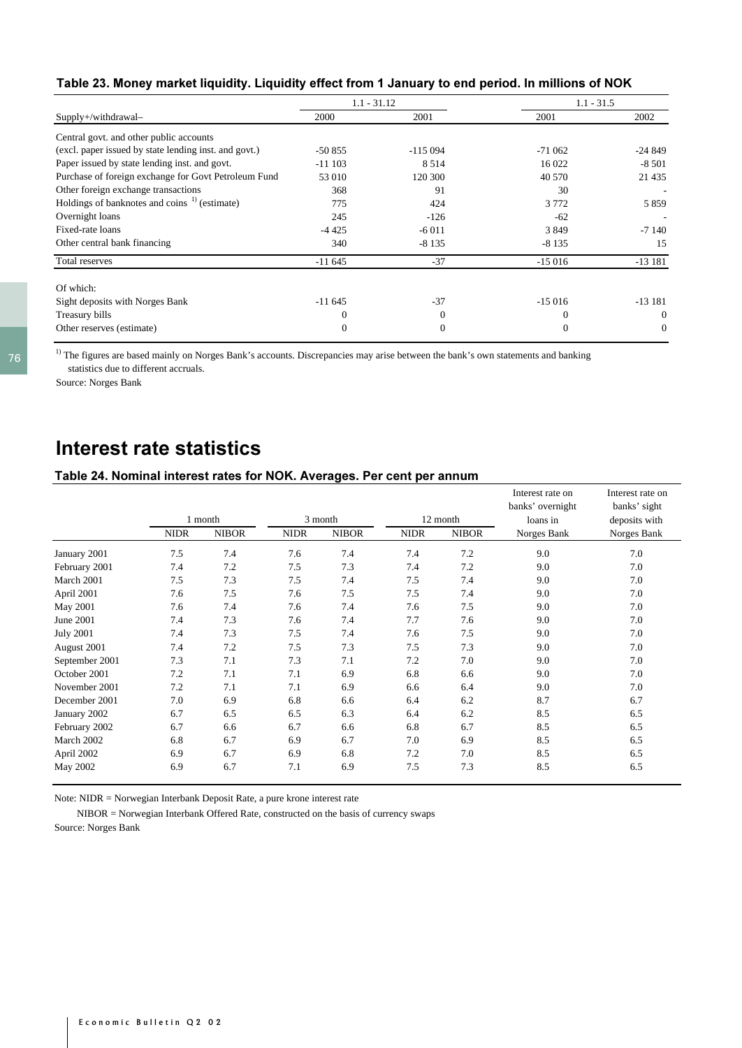|  |  |  |  |  | Table 23. Money market liquidity. Liquidity effect from 1 January to end period. In millions of NOK |
|--|--|--|--|--|-----------------------------------------------------------------------------------------------------|
|--|--|--|--|--|-----------------------------------------------------------------------------------------------------|

|                                                          | $1.1 - 31.12$ |           |                | $1.1 - 31.5$             |  |  |
|----------------------------------------------------------|---------------|-----------|----------------|--------------------------|--|--|
| Supply+/withdrawal-                                      | 2000          | 2001      | 2001           | 2002                     |  |  |
| Central govt. and other public accounts                  |               |           |                |                          |  |  |
| (excl. paper issued by state lending inst. and govt.)    | $-50855$      | $-115094$ | $-71062$       | $-24849$                 |  |  |
| Paper issued by state lending inst. and govt.            | $-11103$      | 8 5 1 4   | 16 022         | $-8501$                  |  |  |
| Purchase of foreign exchange for Govt Petroleum Fund     | 53 010        | 120 300   | 40 570         | 21 4 35                  |  |  |
| Other foreign exchange transactions                      | 368           | 91        | 30             | ٠                        |  |  |
| Holdings of banknotes and coins $\frac{1}{1}$ (estimate) | 775           | 424       | 3772           | 5 8 5 9                  |  |  |
| Overnight loans                                          | 245           | $-126$    | $-62$          | $\overline{\phantom{a}}$ |  |  |
| Fixed-rate loans                                         | $-4425$       | $-6011$   | 3849           | $-7140$                  |  |  |
| Other central bank financing                             | 340           | $-8135$   | $-8135$        | 15                       |  |  |
| Total reserves                                           | $-11645$      | $-37$     | $-15016$       | $-13181$                 |  |  |
| Of which:                                                |               |           |                |                          |  |  |
| Sight deposits with Norges Bank                          | $-11645$      | $-37$     | $-15016$       | $-13181$                 |  |  |
| Treasury bills                                           | 0             | $\theta$  | 0              | $\theta$                 |  |  |
| Other reserves (estimate)                                | $\mathbf{0}$  | $\theta$  | $\overline{0}$ | $\Omega$                 |  |  |

<sup>1)</sup> The figures are based mainly on Norges Bank's accounts. Discrepancies may arise between the bank's own statements and banking statistics due to different accruals.

Source: Norges Bank

## Interest rate statistics

#### Table 24. Nominal interest rates for NOK. Averages. Per cent per annum

|                  |             |              |             |              |             |              | Interest rate on<br>banks' overnight | Interest rate on<br>banks' sight |
|------------------|-------------|--------------|-------------|--------------|-------------|--------------|--------------------------------------|----------------------------------|
|                  |             | 1 month      |             | 3 month      |             | 12 month     | loans in                             | deposits with                    |
|                  | <b>NIDR</b> | <b>NIBOR</b> | <b>NIDR</b> | <b>NIBOR</b> | <b>NIDR</b> | <b>NIBOR</b> | Norges Bank                          | Norges Bank                      |
| January 2001     | 7.5         | 7.4          | 7.6         | 7.4          | 7.4         | 7.2          | 9.0                                  | 7.0                              |
| February 2001    | 7.4         | 7.2          | 7.5         | 7.3          | 7.4         | 7.2          | 9.0                                  | 7.0                              |
| March 2001       | 7.5         | 7.3          | 7.5         | 7.4          | 7.5         | 7.4          | 9.0                                  | 7.0                              |
| April 2001       | 7.6         | 7.5          | 7.6         | 7.5          | 7.5         | 7.4          | 9.0                                  | 7.0                              |
| May 2001         | 7.6         | 7.4          | 7.6         | 7.4          | 7.6         | 7.5          | 9.0                                  | 7.0                              |
| June 2001        | 7.4         | 7.3          | 7.6         | 7.4          | 7.7         | 7.6          | 9.0                                  | 7.0                              |
| <b>July 2001</b> | 7.4         | 7.3          | 7.5         | 7.4          | 7.6         | 7.5          | 9.0                                  | 7.0                              |
| August 2001      | 7.4         | 7.2          | 7.5         | 7.3          | 7.5         | 7.3          | 9.0                                  | 7.0                              |
| September 2001   | 7.3         | 7.1          | 7.3         | 7.1          | 7.2         | 7.0          | 9.0                                  | 7.0                              |
| October 2001     | 7.2         | 7.1          | 7.1         | 6.9          | 6.8         | 6.6          | 9.0                                  | 7.0                              |
| November 2001    | 7.2         | 7.1          | 7.1         | 6.9          | 6.6         | 6.4          | 9.0                                  | 7.0                              |
| December 2001    | 7.0         | 6.9          | 6.8         | 6.6          | 6.4         | 6.2          | 8.7                                  | 6.7                              |
| January 2002     | 6.7         | 6.5          | 6.5         | 6.3          | 6.4         | 6.2          | 8.5                                  | 6.5                              |
| February 2002    | 6.7         | 6.6          | 6.7         | 6.6          | 6.8         | 6.7          | 8.5                                  | 6.5                              |
| March 2002       | 6.8         | 6.7          | 6.9         | 6.7          | 7.0         | 6.9          | 8.5                                  | 6.5                              |
| April 2002       | 6.9         | 6.7          | 6.9         | 6.8          | 7.2         | 7.0          | 8.5                                  | 6.5                              |
| May 2002         | 6.9         | 6.7          | 7.1         | 6.9          | 7.5         | 7.3          | 8.5                                  | 6.5                              |

Note: NIDR = Norwegian Interbank Deposit Rate, a pure krone interest rate

 NIBOR = Norwegian Interbank Offered Rate, constructed on the basis of currency swaps Source: Norges Bank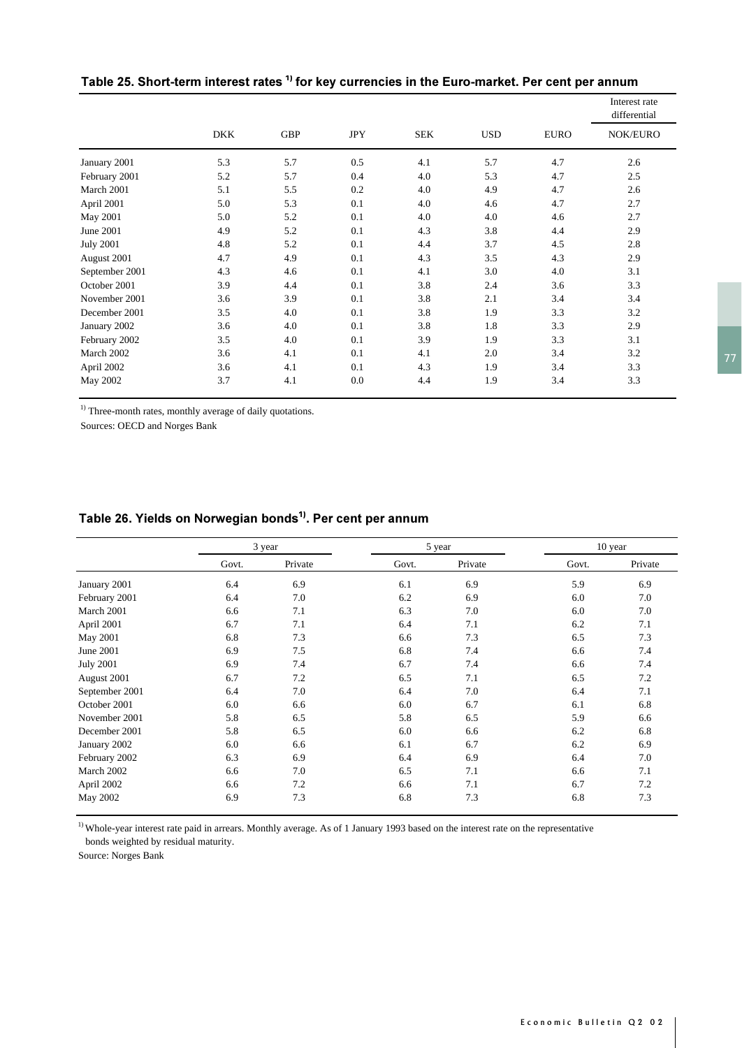|                  |            |            |            |            |            |             | Interest rate<br>differential |
|------------------|------------|------------|------------|------------|------------|-------------|-------------------------------|
|                  | <b>DKK</b> | <b>GBP</b> | <b>JPY</b> | <b>SEK</b> | <b>USD</b> | <b>EURO</b> | <b>NOK/EURO</b>               |
| January 2001     | 5.3        | 5.7        | 0.5        | 4.1        | 5.7        | 4.7         | 2.6                           |
| February 2001    | 5.2        | 5.7        | 0.4        | 4.0        | 5.3        | 4.7         | 2.5                           |
| March 2001       | 5.1        | 5.5        | 0.2        | 4.0        | 4.9        | 4.7         | 2.6                           |
| April 2001       | 5.0        | 5.3        | 0.1        | 4.0        | 4.6        | 4.7         | 2.7                           |
| May 2001         | 5.0        | 5.2        | 0.1        | 4.0        | 4.0        | 4.6         | 2.7                           |
| June 2001        | 4.9        | 5.2        | 0.1        | 4.3        | 3.8        | 4.4         | 2.9                           |
| <b>July 2001</b> | 4.8        | 5.2        | 0.1        | 4.4        | 3.7        | 4.5         | 2.8                           |
| August 2001      | 4.7        | 4.9        | 0.1        | 4.3        | 3.5        | 4.3         | 2.9                           |
| September 2001   | 4.3        | 4.6        | 0.1        | 4.1        | 3.0        | 4.0         | 3.1                           |
| October 2001     | 3.9        | 4.4        | 0.1        | 3.8        | 2.4        | 3.6         | 3.3                           |
| November 2001    | 3.6        | 3.9        | 0.1        | 3.8        | 2.1        | 3.4         | 3.4                           |
| December 2001    | 3.5        | 4.0        | 0.1        | 3.8        | 1.9        | 3.3         | 3.2                           |
| January 2002     | 3.6        | 4.0        | 0.1        | 3.8        | 1.8        | 3.3         | 2.9                           |
| February 2002    | 3.5        | 4.0        | 0.1        | 3.9        | 1.9        | 3.3         | 3.1                           |
| March 2002       | 3.6        | 4.1        | 0.1        | 4.1        | 2.0        | 3.4         | 3.2                           |
| April 2002       | 3.6        | 4.1        | 0.1        | 4.3        | 1.9        | 3.4         | 3.3                           |
| May 2002         | 3.7        | 4.1        | 0.0        | 4.4        | 1.9        | 3.4         | 3.3                           |

Table 25. Short-term interest rates  $^{\text{\tiny{1}}\text{\tiny{}}\text{}}$  for key currencies in the Euro-market. Per cent per annum

 $<sup>1)</sup>$  Three-month rates, monthly average of daily quotations.</sup>

Sources: OECD and Norges Bank

|  |  |  | Table 26. Yields on Norwegian bonds <sup>1)</sup> . Per cent per annum |  |  |  |  |
|--|--|--|------------------------------------------------------------------------|--|--|--|--|
|--|--|--|------------------------------------------------------------------------|--|--|--|--|

|                  |       | 3 year  |       | 5 year  |       | 10 year |
|------------------|-------|---------|-------|---------|-------|---------|
|                  | Govt. | Private | Govt. | Private | Govt. | Private |
| January 2001     | 6.4   | 6.9     | 6.1   | 6.9     | 5.9   | 6.9     |
| February 2001    | 6.4   | 7.0     | 6.2   | 6.9     | 6.0   | 7.0     |
| March 2001       | 6.6   | 7.1     | 6.3   | 7.0     | 6.0   | 7.0     |
| April 2001       | 6.7   | 7.1     | 6.4   | 7.1     | 6.2   | 7.1     |
| May 2001         | 6.8   | 7.3     | 6.6   | 7.3     | 6.5   | 7.3     |
| June 2001        | 6.9   | 7.5     | 6.8   | 7.4     | 6.6   | 7.4     |
| <b>July 2001</b> | 6.9   | 7.4     | 6.7   | 7.4     | 6.6   | 7.4     |
| August 2001      | 6.7   | 7.2     | 6.5   | 7.1     | 6.5   | 7.2     |
| September 2001   | 6.4   | 7.0     | 6.4   | 7.0     | 6.4   | 7.1     |
| October 2001     | 6.0   | 6.6     | 6.0   | 6.7     | 6.1   | 6.8     |
| November 2001    | 5.8   | 6.5     | 5.8   | 6.5     | 5.9   | 6.6     |
| December 2001    | 5.8   | 6.5     | 6.0   | 6.6     | 6.2   | 6.8     |
| January 2002     | 6.0   | 6.6     | 6.1   | 6.7     | 6.2   | 6.9     |
| February 2002    | 6.3   | 6.9     | 6.4   | 6.9     | 6.4   | 7.0     |
| March 2002       | 6.6   | 7.0     | 6.5   | 7.1     | 6.6   | 7.1     |
| April 2002       | 6.6   | 7.2     | 6.6   | 7.1     | 6.7   | 7.2     |
| May 2002         | 6.9   | 7.3     | 6.8   | 7.3     | 6.8   | 7.3     |

<sup>1)</sup> Whole-year interest rate paid in arrears. Monthly average. As of 1 January 1993 based on the interest rate on the representative bonds weighted by residual maturity.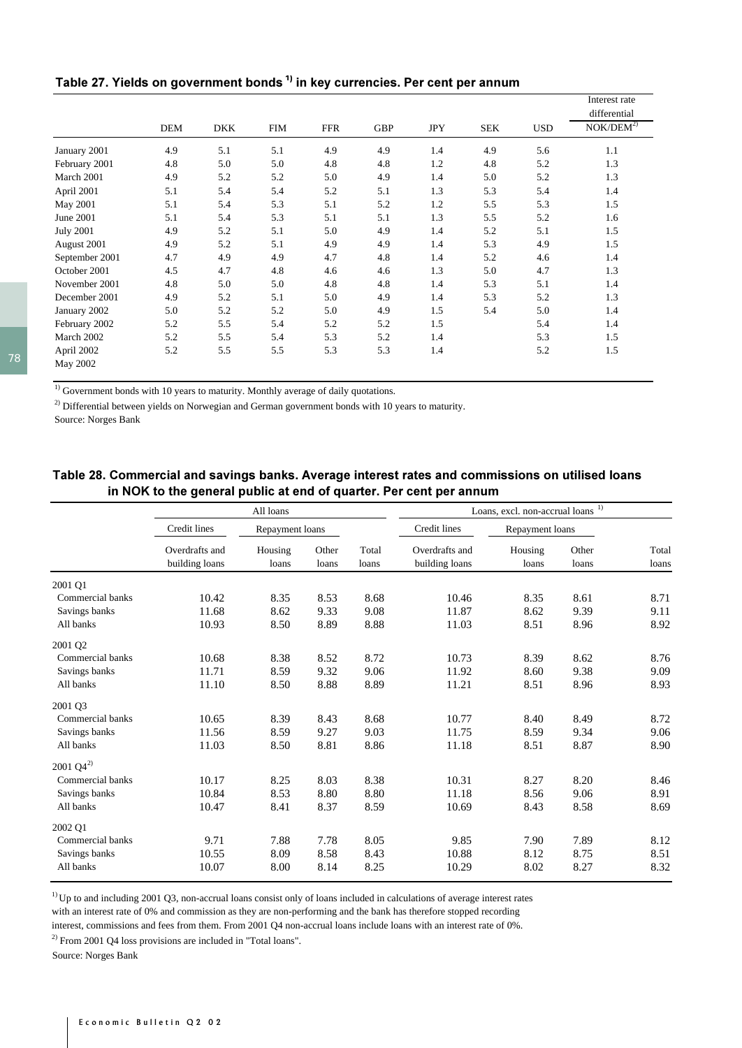#### Table 27. Yields on government bonds <sup>י</sup>' in key currencies. Per cent per annum

|                        |            |            |            |            |            |     |            |            | Interest rate  |
|------------------------|------------|------------|------------|------------|------------|-----|------------|------------|----------------|
|                        |            |            |            |            |            |     |            |            | differential   |
|                        | <b>DEM</b> | <b>DKK</b> | <b>FIM</b> | <b>FFR</b> | <b>GBP</b> | JPY | <b>SEK</b> | <b>USD</b> | $NOK/DEM^{2)}$ |
| January 2001           | 4.9        | 5.1        | 5.1        | 4.9        | 4.9        | 1.4 | 4.9        | 5.6        | 1.1            |
| February 2001          | 4.8        | 5.0        | 5.0        | 4.8        | 4.8        | 1.2 | 4.8        | 5.2        | 1.3            |
| March 2001             | 4.9        | 5.2        | 5.2        | 5.0        | 4.9        | 1.4 | 5.0        | 5.2        | 1.3            |
| April 2001             | 5.1        | 5.4        | 5.4        | 5.2        | 5.1        | 1.3 | 5.3        | 5.4        | 1.4            |
| May 2001               | 5.1        | 5.4        | 5.3        | 5.1        | 5.2        | 1.2 | 5.5        | 5.3        | 1.5            |
| June 2001              | 5.1        | 5.4        | 5.3        | 5.1        | 5.1        | 1.3 | 5.5        | 5.2        | 1.6            |
| <b>July 2001</b>       | 4.9        | 5.2        | 5.1        | 5.0        | 4.9        | 1.4 | 5.2        | 5.1        | 1.5            |
| August 2001            | 4.9        | 5.2        | 5.1        | 4.9        | 4.9        | 1.4 | 5.3        | 4.9        | 1.5            |
| September 2001         | 4.7        | 4.9        | 4.9        | 4.7        | 4.8        | 1.4 | 5.2        | 4.6        | 1.4            |
| October 2001           | 4.5        | 4.7        | 4.8        | 4.6        | 4.6        | 1.3 | 5.0        | 4.7        | 1.3            |
| November 2001          | 4.8        | 5.0        | 5.0        | 4.8        | 4.8        | 1.4 | 5.3        | 5.1        | 1.4            |
| December 2001          | 4.9        | 5.2        | 5.1        | 5.0        | 4.9        | 1.4 | 5.3        | 5.2        | 1.3            |
| January 2002           | 5.0        | 5.2        | 5.2        | 5.0        | 4.9        | 1.5 | 5.4        | 5.0        | 1.4            |
| February 2002          | 5.2        | 5.5        | 5.4        | 5.2        | 5.2        | 1.5 |            | 5.4        | 1.4            |
| March 2002             | 5.2        | 5.5        | 5.4        | 5.3        | 5.2        | 1.4 |            | 5.3        | 1.5            |
| April 2002<br>May 2002 | 5.2        | 5.5        | 5.5        | 5.3        | 5.3        | 1.4 |            | 5.2        | 1.5            |

<sup>1)</sup> Government bonds with 10 years to maturity. Monthly average of daily quotations.

 $2)$  Differential between yields on Norwegian and German government bonds with 10 years to maturity. Source: Norges Bank

#### Table 28. Commercial and savings banks. Average interest rates and commissions on utilised loans in NOK to the general public at end of quarter. Per cent per annum

|                       |                                  | All loans        |                |                | Loans, excl. non-accrual loans <sup>1)</sup> |                  |                |                |
|-----------------------|----------------------------------|------------------|----------------|----------------|----------------------------------------------|------------------|----------------|----------------|
|                       | Credit lines                     | Repayment loans  |                |                | Credit lines                                 | Repayment loans  |                |                |
|                       | Overdrafts and<br>building loans | Housing<br>loans | Other<br>loans | Total<br>loans | Overdrafts and<br>building loans             | Housing<br>loans | Other<br>loans | Total<br>loans |
| 2001 Q1               |                                  |                  |                |                |                                              |                  |                |                |
| Commercial banks      | 10.42                            | 8.35             | 8.53           | 8.68           | 10.46                                        | 8.35             | 8.61           | 8.71           |
| Savings banks         | 11.68                            | 8.62             | 9.33           | 9.08           | 11.87                                        | 8.62             | 9.39           | 9.11           |
| All banks             | 10.93                            | 8.50             | 8.89           | 8.88           | 11.03                                        | 8.51             | 8.96           | 8.92           |
| 2001 Q2               |                                  |                  |                |                |                                              |                  |                |                |
| Commercial banks      | 10.68                            | 8.38             | 8.52           | 8.72           | 10.73                                        | 8.39             | 8.62           | 8.76           |
| Savings banks         | 11.71                            | 8.59             | 9.32           | 9.06           | 11.92                                        | 8.60             | 9.38           | 9.09           |
| All banks             | 11.10                            | 8.50             | 8.88           | 8.89           | 11.21                                        | 8.51             | 8.96           | 8.93           |
| 2001 Q3               |                                  |                  |                |                |                                              |                  |                |                |
| Commercial banks      | 10.65                            | 8.39             | 8.43           | 8.68           | 10.77                                        | 8.40             | 8.49           | 8.72           |
| Savings banks         | 11.56                            | 8.59             | 9.27           | 9.03           | 11.75                                        | 8.59             | 9.34           | 9.06           |
| All banks             | 11.03                            | 8.50             | 8.81           | 8.86           | 11.18                                        | 8.51             | 8.87           | 8.90           |
| $2001 \text{ Q}4^{2}$ |                                  |                  |                |                |                                              |                  |                |                |
| Commercial banks      | 10.17                            | 8.25             | 8.03           | 8.38           | 10.31                                        | 8.27             | 8.20           | 8.46           |
| Savings banks         | 10.84                            | 8.53             | 8.80           | 8.80           | 11.18                                        | 8.56             | 9.06           | 8.91           |
| All banks             | 10.47                            | 8.41             | 8.37           | 8.59           | 10.69                                        | 8.43             | 8.58           | 8.69           |
| 2002 Q1               |                                  |                  |                |                |                                              |                  |                |                |
| Commercial banks      | 9.71                             | 7.88             | 7.78           | 8.05           | 9.85                                         | 7.90             | 7.89           | 8.12           |
| Savings banks         | 10.55                            | 8.09             | 8.58           | 8.43           | 10.88                                        | 8.12             | 8.75           | 8.51           |
| All banks             | 10.07                            | 8.00             | 8.14           | 8.25           | 10.29                                        | 8.02             | 8.27           | 8.32           |

 $1)$ Up to and including 2001 Q3, non-accrual loans consist only of loans included in calculations of average interest rates with an interest rate of 0% and commission as they are non-performing and the bank has therefore stopped recording

interest, commissions and fees from them. From 2001 Q4 non-accrual loans include loans with an interest rate of 0%.

 $^{2)}$  From 2001 Q4 loss provisions are included in "Total loans".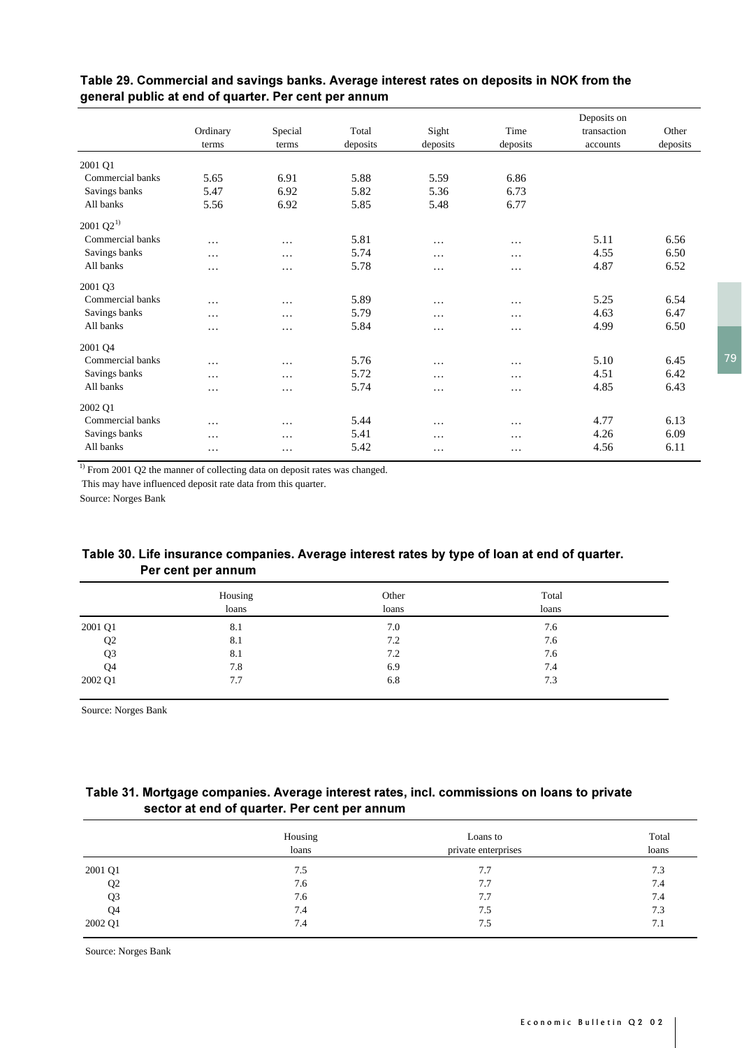|                       |          |           |          |          |           | Deposits on |          |
|-----------------------|----------|-----------|----------|----------|-----------|-------------|----------|
|                       | Ordinary | Special   | Total    | Sight    | Time      | transaction | Other    |
|                       | terms    | terms     | deposits | deposits | deposits  | accounts    | deposits |
| 2001 Q1               |          |           |          |          |           |             |          |
| Commercial banks      | 5.65     | 6.91      | 5.88     | 5.59     | 6.86      |             |          |
| Savings banks         | 5.47     | 6.92      | 5.82     | 5.36     | 6.73      |             |          |
| All banks             | 5.56     | 6.92      | 5.85     | 5.48     | 6.77      |             |          |
| $2001 \text{ Q}2^{1}$ |          |           |          |          |           |             |          |
| Commercial banks      | $\cdots$ | $\cdots$  | 5.81     | $\cdots$ | $\ddotsc$ | 5.11        | 6.56     |
| Savings banks         | $\cdots$ | $\cdots$  | 5.74     | $\cdots$ | $\cdots$  | 4.55        | 6.50     |
| All banks             | $\cdots$ | $\cdots$  | 5.78     | $\cdots$ | $\ddotsc$ | 4.87        | 6.52     |
| 2001 Q3               |          |           |          |          |           |             |          |
| Commercial banks      | $\cdots$ | $\cdots$  | 5.89     | $\cdots$ | $\cdots$  | 5.25        | 6.54     |
| Savings banks         | $\cdots$ | $\cdots$  | 5.79     | $\cdots$ | $\cdots$  | 4.63        | 6.47     |
| All banks             | $\cdots$ | $\ddotsc$ | 5.84     | .        | $\cdots$  | 4.99        | 6.50     |
| 2001 Q4               |          |           |          |          |           |             |          |
| Commercial banks      | $\cdots$ | $\cdots$  | 5.76     | $\cdots$ | $\cdots$  | 5.10        | 6.45     |
| Savings banks         | $\cdots$ | $\cdots$  | 5.72     | $\cdots$ | $\ddotsc$ | 4.51        | 6.42     |
| All banks             | $\cdots$ | $\cdots$  | 5.74     | $\cdots$ | $\cdots$  | 4.85        | 6.43     |
| 2002 Q1               |          |           |          |          |           |             |          |
| Commercial banks      | $\cdots$ | $\cdots$  | 5.44     | $\cdots$ | $\cdots$  | 4.77        | 6.13     |
| Savings banks         | $\cdots$ | $\ddotsc$ | 5.41     | $\cdots$ | $\cdots$  | 4.26        | 6.09     |
| All banks             | $\cdots$ | $\cdots$  | 5.42     | $\cdots$ | $\cdots$  | 4.56        | 6.11     |

#### Table 29. Commercial and savings banks. Average interest rates on deposits in NOK from the general public at end of quarter. Per cent per annum

 $\frac{1}{1}$  From 2001 Q2 the manner of collecting data on deposit rates was changed.

This may have influenced deposit rate data from this quarter.

Source: Norges Bank

### Table 30. Life insurance companies. Average interest rates by type of loan at end of quarter. Per cent per annum

|                | Housing<br>loans | Other<br>loans | Total<br>loans |  |
|----------------|------------------|----------------|----------------|--|
| 2001 Q1        | 8.1              | 7.0            | 7.6            |  |
| Q2             | 8.1              | 7.2            | 7.6            |  |
| Q <sub>3</sub> | 8.1              | 7.2            | 7.6            |  |
| Q4             | 7.8              | 6.9            | 7.4            |  |
| 2002 Q1        | 7.7              | 6.8            | 7.3            |  |

Source: Norges Bank

### Table 31. Mortgage companies. Average interest rates, incl. commissions on loans to private sector at end of quarter. Per cent per annum

|                | Housing<br>loans | Loans to<br>private enterprises | Total<br>loans |  |
|----------------|------------------|---------------------------------|----------------|--|
| 2001 Q1        | 7.5              | 7.7                             | 7.3            |  |
| Q <sub>2</sub> | 7.6              | 7.7                             | 7.4            |  |
| Q <sub>3</sub> | 7.6              | 7.7                             | 7.4            |  |
| Q4             | 7.4              | 7.5                             | 7.3            |  |
| 2002 Q1        | 7.4              | 7.5                             | 7.1            |  |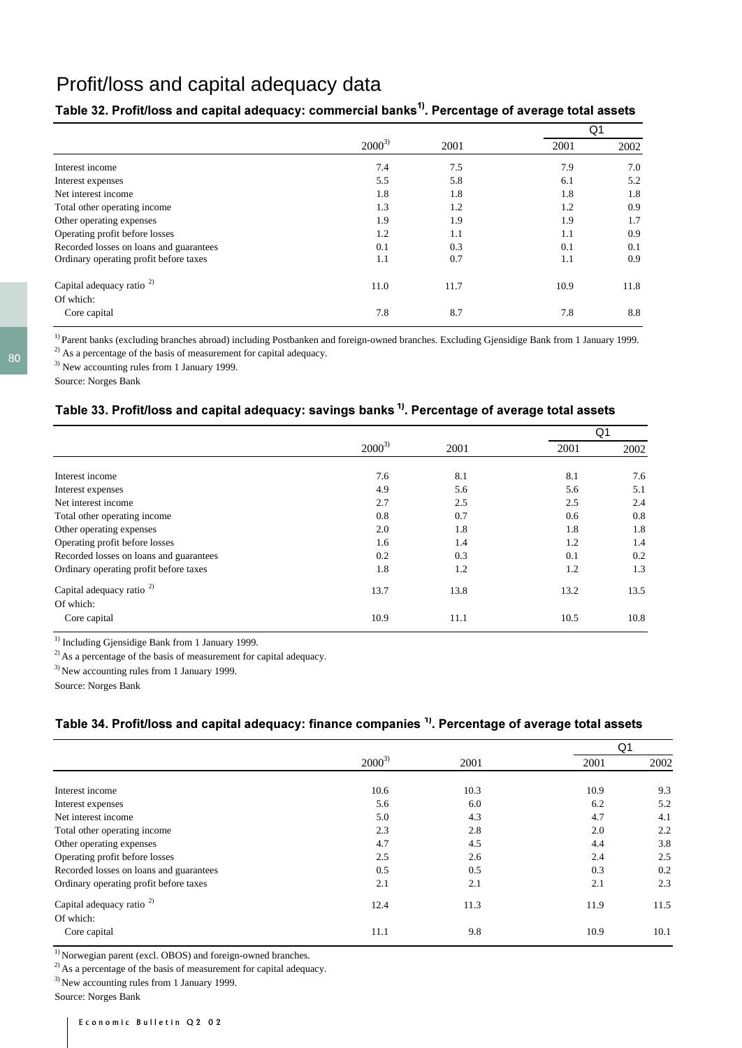## Profit/loss and capital adequacy data

|                                         |            |      |      | Q1   |
|-----------------------------------------|------------|------|------|------|
|                                         | $2000^{3}$ | 2001 | 2001 | 2002 |
| Interest income                         | 7.4        | 7.5  | 7.9  | 7.0  |
| Interest expenses                       | 5.5        | 5.8  | 6.1  | 5.2  |
| Net interest income                     | 1.8        | 1.8  | 1.8  | 1.8  |
| Total other operating income            | 1.3        | 1.2  | 1.2  | 0.9  |
| Other operating expenses                | 1.9        | 1.9  | 1.9  | 1.7  |
| Operating profit before losses          | 1.2        | 1.1  | 1.1  | 0.9  |
| Recorded losses on loans and guarantees | 0.1        | 0.3  | 0.1  | 0.1  |
| Ordinary operating profit before taxes  | 1.1        | 0.7  | 1.1  | 0.9  |
| Capital adequacy ratio <sup>2)</sup>    | 11.0       | 11.7 | 10.9 | 11.8 |
| Of which:                               |            |      |      |      |
| Core capital                            | 7.8        | 8.7  | 7.8  | 8.8  |

### Table 32. Profit/loss and capital adequacy: commercial banks $^{\rm 1)}$ . Percentage of average total assets

<sup>1)</sup> Parent banks (excluding branches abroad) including Postbanken and foreign-owned branches. Excluding Gjensidige Bank from 1 January 1999.

<sup>2)</sup> As a percentage of the basis of measurement for capital adequacy.

<sup>3)</sup> New accounting rules from 1 January 1999.

Source: Norges Bank

#### Table 33. Profit/loss and capital adequacy: savings banks <sup>י</sup>'. Percentage of average total assets

|                                         |            |      |      | Q1   |
|-----------------------------------------|------------|------|------|------|
|                                         | $2000^{3}$ | 2001 | 2001 | 2002 |
|                                         |            |      |      |      |
| Interest income                         | 7.6        | 8.1  | 8.1  | 7.6  |
| Interest expenses                       | 4.9        | 5.6  | 5.6  | 5.1  |
| Net interest income                     | 2.7        | 2.5  | 2.5  | 2.4  |
| Total other operating income            | 0.8        | 0.7  | 0.6  | 0.8  |
| Other operating expenses                | 2.0        | 1.8  | 1.8  | 1.8  |
| Operating profit before losses          | 1.6        | 1.4  | 1.2  | 1.4  |
| Recorded losses on loans and guarantees | 0.2        | 0.3  | 0.1  | 0.2  |
| Ordinary operating profit before taxes  | 1.8        | 1.2  | 1.2  | 1.3  |
| Capital adequacy ratio <sup>2)</sup>    | 13.7       | 13.8 | 13.2 | 13.5 |
| Of which:                               |            |      |      |      |
| Core capital                            | 10.9       | 11.1 | 10.5 | 10.8 |

<sup>1)</sup> Including Gjensidige Bank from 1 January 1999.

 $^{2)}$  As a percentage of the basis of measurement for capital adequacy.

<sup>3)</sup> New accounting rules from 1 January 1999.

Source: Norges Bank

### Table 34. Profit/loss and capital adequacy: finance companies  $^{\rm 1)}$ . Percentage of average total assets

|                                         |            |      | Q1   |      |
|-----------------------------------------|------------|------|------|------|
|                                         | $2000^{3}$ | 2001 | 2001 | 2002 |
|                                         |            |      |      |      |
| Interest income                         | 10.6       | 10.3 | 10.9 | 9.3  |
| Interest expenses                       | 5.6        | 6.0  | 6.2  | 5.2  |
| Net interest income                     | 5.0        | 4.3  | 4.7  | 4.1  |
| Total other operating income            | 2.3        | 2.8  | 2.0  | 2.2  |
| Other operating expenses                | 4.7        | 4.5  | 4.4  | 3.8  |
| Operating profit before losses          | 2.5        | 2.6  | 2.4  | 2.5  |
| Recorded losses on loans and guarantees | 0.5        | 0.5  | 0.3  | 0.2  |
| Ordinary operating profit before taxes  | 2.1        | 2.1  | 2.1  | 2.3  |
| Capital adequacy ratio <sup>2)</sup>    | 12.4       | 11.3 | 11.9 | 11.5 |
| Of which:                               |            |      |      |      |
| Core capital                            | 11.1       | 9.8  | 10.9 | 10.1 |

<sup>1)</sup> Norwegian parent (excl. OBOS) and foreign-owned branches.

 $^{2)}$  As a percentage of the basis of measurement for capital adequacy.

<sup>3)</sup> New accounting rules from 1 January 1999.

Source: Norges Bank

Economic Bulletin Q2 02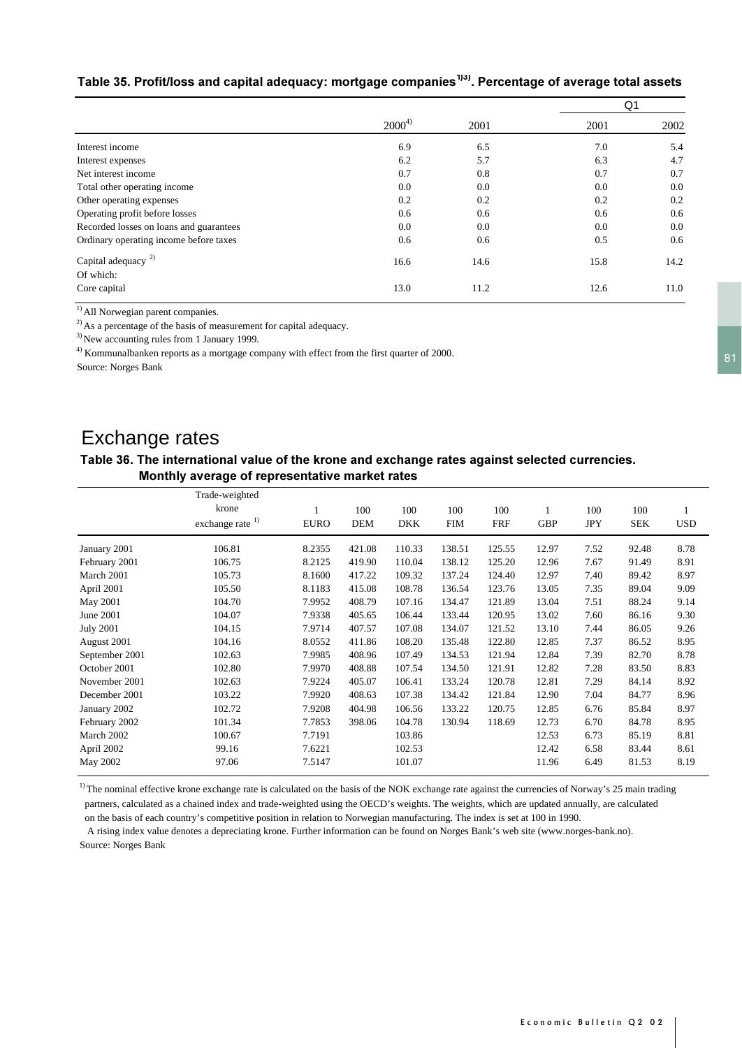| Table 35. Profit/loss and capital adequacy: mortgage companies <sup>1]3</sup> . Percentage of average total assets |  |
|--------------------------------------------------------------------------------------------------------------------|--|
|--------------------------------------------------------------------------------------------------------------------|--|

|                                         |            |      | Q1   |      |
|-----------------------------------------|------------|------|------|------|
|                                         | $2000^{4}$ | 2001 | 2001 | 2002 |
| Interest income                         | 6.9        | 6.5  | 7.0  | 5.4  |
| Interest expenses                       | 6.2        | 5.7  | 6.3  | 4.7  |
| Net interest income                     | 0.7        | 0.8  | 0.7  | 0.7  |
| Total other operating income            | 0.0        | 0.0  | 0.0  | 0.0  |
| Other operating expenses                | 0.2        | 0.2  | 0.2  | 0.2  |
| Operating profit before losses          | 0.6        | 0.6  | 0.6  | 0.6  |
| Recorded losses on loans and guarantees | 0.0        | 0.0  | 0.0  | 0.0  |
| Ordinary operating income before taxes  | 0.6        | 0.6  | 0.5  | 0.6  |
| Capital adequacy <sup>2)</sup>          | 16.6       | 14.6 | 15.8 | 14.2 |
| Of which:                               |            |      |      |      |
| Core capital                            | 13.0       | 11.2 | 12.6 | 11.0 |

<sup>1)</sup> All Norwegian parent companies.

 $^{2)}$  As a percentage of the basis of measurement for capital adequacy.

 $3)$  New accounting rules from 1 January 1999.

4) Kommunalbanken reports as a mortgage company with effect from the first quarter of 2000.

Source: Norges Bank

## Exchange rates

#### Table 36. The international value of the krone and exchange rates against selected currencies. Monthly average of representative market rates

|                  | Trade-weighted               |                   |                   |                   |                   |                   |            |            |                   |            |
|------------------|------------------------------|-------------------|-------------------|-------------------|-------------------|-------------------|------------|------------|-------------------|------------|
|                  | krone<br>1)<br>exchange rate | -1<br><b>EURO</b> | 100<br><b>DEM</b> | 100<br><b>DKK</b> | 100<br><b>FIM</b> | 100<br><b>FRF</b> | <b>GBP</b> | 100<br>JPY | 100<br><b>SEK</b> | <b>USD</b> |
| January 2001     | 106.81                       | 8.2355            | 421.08            | 110.33            | 138.51            | 125.55            | 12.97      | 7.52       | 92.48             | 8.78       |
| February 2001    | 106.75                       | 8.2125            | 419.90            | 110.04            | 138.12            | 125.20            | 12.96      | 7.67       | 91.49             | 8.91       |
| March 2001       | 105.73                       | 8.1600            | 417.22            | 109.32            | 137.24            | 124.40            | 12.97      | 7.40       | 89.42             | 8.97       |
| April 2001       | 105.50                       | 8.1183            | 415.08            | 108.78            | 136.54            | 123.76            | 13.05      | 7.35       | 89.04             | 9.09       |
| May 2001         | 104.70                       | 7.9952            | 408.79            | 107.16            | 134.47            | 121.89            | 13.04      | 7.51       | 88.24             | 9.14       |
| June 2001        | 104.07                       | 7.9338            | 405.65            | 106.44            | 133.44            | 120.95            | 13.02      | 7.60       | 86.16             | 9.30       |
| <b>July 2001</b> | 104.15                       | 7.9714            | 407.57            | 107.08            | 134.07            | 121.52            | 13.10      | 7.44       | 86.05             | 9.26       |
| August 2001      | 104.16                       | 8.0552            | 411.86            | 108.20            | 135.48            | 122.80            | 12.85      | 7.37       | 86.52             | 8.95       |
| September 2001   | 102.63                       | 7.9985            | 408.96            | 107.49            | 134.53            | 121.94            | 12.84      | 7.39       | 82.70             | 8.78       |
| October 2001     | 102.80                       | 7.9970            | 408.88            | 107.54            | 134.50            | 121.91            | 12.82      | 7.28       | 83.50             | 8.83       |
| November 2001    | 102.63                       | 7.9224            | 405.07            | 106.41            | 133.24            | 120.78            | 12.81      | 7.29       | 84.14             | 8.92       |
| December 2001    | 103.22                       | 7.9920            | 408.63            | 107.38            | 134.42            | 121.84            | 12.90      | 7.04       | 84.77             | 8.96       |
| January 2002     | 102.72                       | 7.9208            | 404.98            | 106.56            | 133.22            | 120.75            | 12.85      | 6.76       | 85.84             | 8.97       |
| February 2002    | 101.34                       | 7.7853            | 398.06            | 104.78            | 130.94            | 118.69            | 12.73      | 6.70       | 84.78             | 8.95       |
| March 2002       | 100.67                       | 7.7191            |                   | 103.86            |                   |                   | 12.53      | 6.73       | 85.19             | 8.81       |
| April 2002       | 99.16                        | 7.6221            |                   | 102.53            |                   |                   | 12.42      | 6.58       | 83.44             | 8.61       |
| May 2002         | 97.06                        | 7.5147            |                   | 101.07            |                   |                   | 11.96      | 6.49       | 81.53             | 8.19       |

<sup>1)</sup> The nominal effective krone exchange rate is calculated on the basis of the NOK exchange rate against the currencies of Norway's 25 main trading partners, calculated as a chained index and trade-weighted using the OECD's weights. The weights, which are updated annually, are calculated

on the basis of each country's competitive position in relation to Norwegian manufacturing. The index is set at 100 in 1990.

 A rising index value denotes a depreciating krone. Further information can be found on Norges Bank's web site (www.norges-bank.no). Source: Norges Bank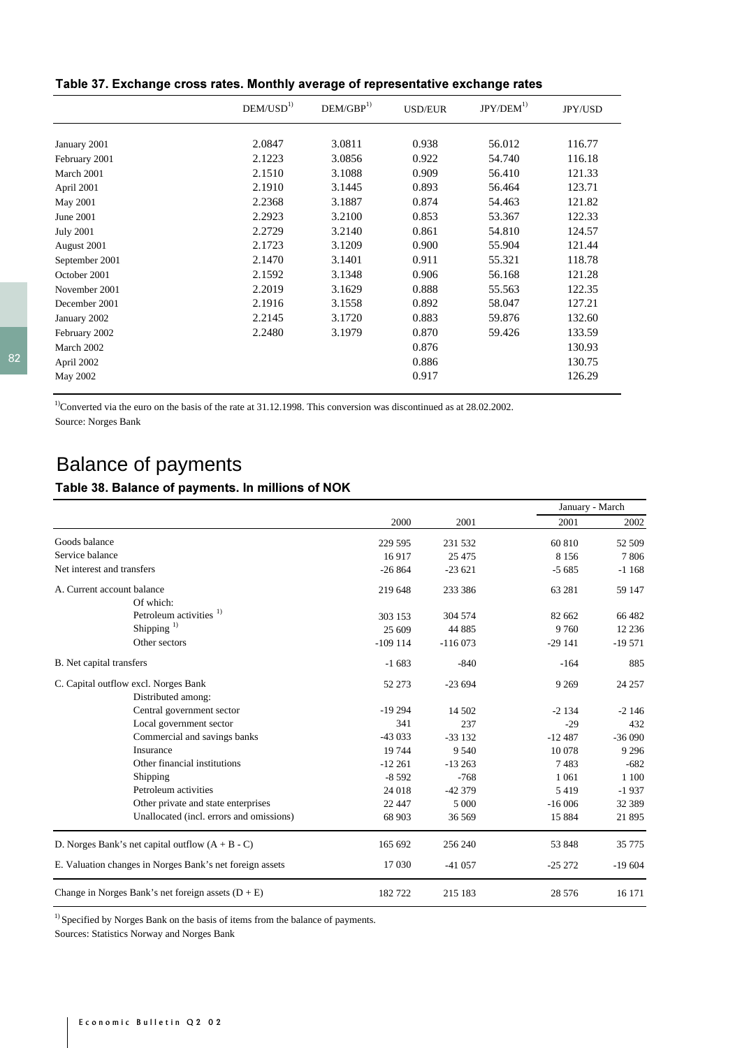| Table 37. Exchange cross rates. Monthly average of representative exchange rates |  |  |
|----------------------------------------------------------------------------------|--|--|
|                                                                                  |  |  |

|                  | $DEM/USD^{1)}$ | $DEM/GBP^{1)}$ | <b>USD/EUR</b> | JPY/DEM <sup>1</sup> | JPY/USD |
|------------------|----------------|----------------|----------------|----------------------|---------|
|                  |                |                |                |                      |         |
| January 2001     | 2.0847         | 3.0811         | 0.938          | 56.012               | 116.77  |
| February 2001    | 2.1223         | 3.0856         | 0.922          | 54.740               | 116.18  |
| March 2001       | 2.1510         | 3.1088         | 0.909          | 56.410               | 121.33  |
| April 2001       | 2.1910         | 3.1445         | 0.893          | 56.464               | 123.71  |
| May 2001         | 2.2368         | 3.1887         | 0.874          | 54.463               | 121.82  |
| June 2001        | 2.2923         | 3.2100         | 0.853          | 53.367               | 122.33  |
| <b>July 2001</b> | 2.2729         | 3.2140         | 0.861          | 54.810               | 124.57  |
| August 2001      | 2.1723         | 3.1209         | 0.900          | 55.904               | 121.44  |
| September 2001   | 2.1470         | 3.1401         | 0.911          | 55.321               | 118.78  |
| October 2001     | 2.1592         | 3.1348         | 0.906          | 56.168               | 121.28  |
| November 2001    | 2.2019         | 3.1629         | 0.888          | 55.563               | 122.35  |
| December 2001    | 2.1916         | 3.1558         | 0.892          | 58.047               | 127.21  |
| January 2002     | 2.2145         | 3.1720         | 0.883          | 59.876               | 132.60  |
| February 2002    | 2.2480         | 3.1979         | 0.870          | 59.426               | 133.59  |
| March 2002       |                |                | 0.876          |                      | 130.93  |
| April 2002       |                |                | 0.886          |                      | 130.75  |
| May 2002         |                |                | 0.917          |                      | 126.29  |

<sup>1)</sup>Converted via the euro on the basis of the rate at 31.12.1998. This conversion was discontinued as at 28.02.2002. Source: Norges Bank

# Balance of payments

#### Table 38. Balance of payments. In millions of NOK

|                                                          |           |           | January - March |          |  |
|----------------------------------------------------------|-----------|-----------|-----------------|----------|--|
|                                                          | 2000      | 2001      | 2001            | 2002     |  |
| Goods balance                                            | 229 595   | 231 532   | 60 810          | 52 509   |  |
| Service balance                                          | 16917     | 25 4 75   | 8 1 5 6         | 7806     |  |
| Net interest and transfers                               | $-26864$  | $-23621$  | $-5685$         | $-1168$  |  |
| A. Current account balance                               | 219 648   | 233 386   | 63 281          | 59 147   |  |
| Of which:                                                |           |           |                 |          |  |
| Petroleum activities <sup>1)</sup>                       | 303 153   | 304 574   | 82 662          | 66 482   |  |
| Shipping <sup>1)</sup>                                   | 25 609    | 44 8 85   | 9 7 6 0         | 12 2 36  |  |
| Other sectors                                            | $-109114$ | $-116073$ | $-29141$        | $-19571$ |  |
| B. Net capital transfers                                 | $-1683$   | $-840$    | $-164$          | 885      |  |
| C. Capital outflow excl. Norges Bank                     | 52 273    | $-23694$  | 9 2 6 9         | 24 257   |  |
| Distributed among:                                       |           |           |                 |          |  |
| Central government sector                                | $-19294$  | 14 502    | $-2134$         | $-2146$  |  |
| Local government sector                                  | 341       | 237       | $-29$           | 432      |  |
| Commercial and savings banks                             | $-43033$  | $-33132$  | $-12487$        | $-36090$ |  |
| Insurance                                                | 19 744    | 9 5 4 0   | 10 078          | 9 2 9 6  |  |
| Other financial institutions                             | $-12261$  | $-13263$  | 7483            | $-682$   |  |
| Shipping                                                 | $-8592$   | $-768$    | 1 0 6 1         | 1 100    |  |
| Petroleum activities                                     | 24 018    | $-42379$  | 5419            | $-1937$  |  |
| Other private and state enterprises                      | 22 447    | 5 0 0 0   | $-16006$        | 32 389   |  |
| Unallocated (incl. errors and omissions)                 | 68 903    | 36 569    | 15 8 8 4        | 21 8 95  |  |
| D. Norges Bank's net capital outflow $(A + B - C)$       | 165 692   | 256 240   | 53 848          | 35 7 7 5 |  |
| E. Valuation changes in Norges Bank's net foreign assets | 17 030    | $-41057$  | $-25272$        | $-19604$ |  |
| Change in Norges Bank's net foreign assets $(D + E)$     | 182722    | 215 183   | 28 576          | 16 171   |  |

<sup>1)</sup> Specified by Norges Bank on the basis of items from the balance of payments.

Sources: Statistics Norway and Norges Bank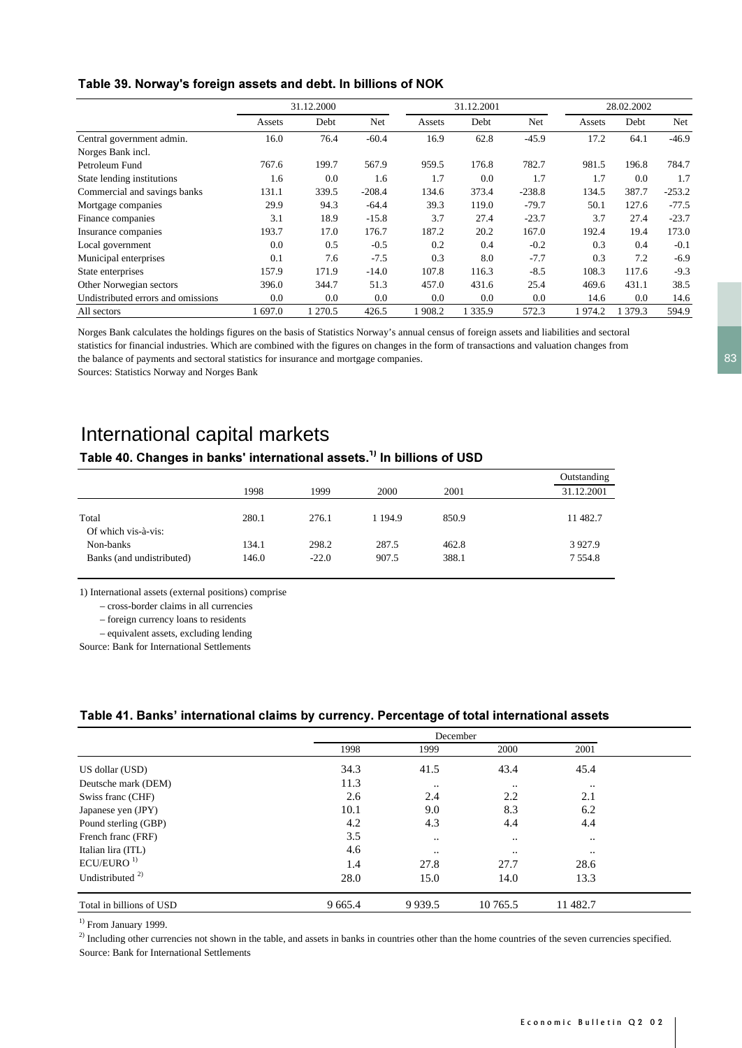#### Table 39. Norway's foreign assets and debt. In billions of NOK

|                                    |        | 31.12.2000 |          |        | 31.12.2001 |          | 28.02.2002 |       |          |  |
|------------------------------------|--------|------------|----------|--------|------------|----------|------------|-------|----------|--|
|                                    | Assets | Debt       | Net      | Assets | Debt       | Net      | Assets     | Debt  | Net      |  |
| Central government admin.          | 16.0   | 76.4       | $-60.4$  | 16.9   | 62.8       | $-45.9$  | 17.2       | 64.1  | $-46.9$  |  |
| Norges Bank incl.                  |        |            |          |        |            |          |            |       |          |  |
| Petroleum Fund                     | 767.6  | 199.7      | 567.9    | 959.5  | 176.8      | 782.7    | 981.5      | 196.8 | 784.7    |  |
| State lending institutions         | 1.6    | 0.0        | 1.6      | 1.7    | 0.0        | 1.7      | 1.7        | 0.0   | 1.7      |  |
| Commercial and savings banks       | 131.1  | 339.5      | $-208.4$ | 134.6  | 373.4      | $-238.8$ | 134.5      | 387.7 | $-253.2$ |  |
| Mortgage companies                 | 29.9   | 94.3       | $-64.4$  | 39.3   | 119.0      | $-79.7$  | 50.1       | 127.6 | $-77.5$  |  |
| Finance companies                  | 3.1    | 18.9       | $-15.8$  | 3.7    | 27.4       | $-23.7$  | 3.7        | 27.4  | $-23.7$  |  |
| Insurance companies                | 193.7  | 17.0       | 176.7    | 187.2  | 20.2       | 167.0    | 192.4      | 19.4  | 173.0    |  |
| Local government                   | 0.0    | 0.5        | $-0.5$   | 0.2    | 0.4        | $-0.2$   | 0.3        | 0.4   | $-0.1$   |  |
| Municipal enterprises              | 0.1    | 7.6        | $-7.5$   | 0.3    | 8.0        | $-7.7$   | 0.3        | 7.2   | $-6.9$   |  |
| State enterprises                  | 157.9  | 171.9      | $-14.0$  | 107.8  | 116.3      | $-8.5$   | 108.3      | 117.6 | $-9.3$   |  |
| Other Norwegian sectors            | 396.0  | 344.7      | 51.3     | 457.0  | 431.6      | 25.4     | 469.6      | 431.1 | 38.5     |  |
| Undistributed errors and omissions | 0.0    | 0.0        | 0.0      | 0.0    | 0.0        | 0.0      | 14.6       | 0.0   | 14.6     |  |
| All sectors                        | 697.0  | 270.5      | 426.5    | 1908.2 | 1 3 3 5 9  | 572.3    | 1 974.2    | 379.3 | 594.9    |  |

Norges Bank calculates the holdings figures on the basis of Statistics Norway's annual census of foreign assets and liabilities and sectoral statistics for financial industries. Which are combined with the figures on changes in the form of transactions and valuation changes from the balance of payments and sectoral statistics for insurance and mortgage companies.

Sources: Statistics Norway and Norges Bank

## International capital markets

### Table 40. Changes in banks' international assets.<sup>1)</sup> In billions of USD

|                           |       |         |            |       | Outstanding |
|---------------------------|-------|---------|------------|-------|-------------|
|                           | 1998  | 1999    | 2000       | 2001  | 31.12.2001  |
|                           |       |         |            |       |             |
| Total                     | 280.1 | 276.1   | 1 1 9 4 .9 | 850.9 | 11 482.7    |
| Of which vis-à-vis:       |       |         |            |       |             |
| Non-banks                 | 134.1 | 298.2   | 287.5      | 462.8 | 3927.9      |
| Banks (and undistributed) | 146.0 | $-22.0$ | 907.5      | 388.1 | 7 5 5 4 .8  |

1) International assets (external positions) comprise

– cross-border claims in all currencies

– foreign currency loans to residents

– equivalent assets, excluding lending

Source: Bank for International Settlements

#### Table 41. Banks' international claims by currency. Percentage of total international assets

|                             | 1998      | 1999      | 2000                 | 2001             |  |
|-----------------------------|-----------|-----------|----------------------|------------------|--|
| US dollar (USD)             | 34.3      | 41.5      | 43.4                 | 45.4             |  |
| Deutsche mark (DEM)         | 11.3      | $\ddotsc$ | $\cdot \cdot$        | $\bullet\bullet$ |  |
| Swiss franc (CHF)           | 2.6       | 2.4       | 2.2                  | 2.1              |  |
| Japanese yen (JPY)          | 10.1      | 9.0       | 8.3                  | 6.2              |  |
| Pound sterling (GBP)        | 4.2       | 4.3       | 4.4                  | 4.4              |  |
| French franc (FRF)          | 3.5       | $\ddotsc$ | $\ddotsc$            | $\ddotsc$        |  |
| Italian lira (ITL)          | 4.6       |           | $\ddot{\phantom{a}}$ |                  |  |
| $ECU/EURO$ <sup>1)</sup>    | 1.4       | 27.8      | 27.7                 | 28.6             |  |
| Undistributed <sup>2)</sup> | 28.0      | 15.0      | 14.0                 | 13.3             |  |
| Total in billions of USD    | 9 6 6 5.4 | 9 9 3 9.5 | 10 765.5             | 11 482.7         |  |

<sup>1)</sup> From January 1999.

<sup>2)</sup> Including other currencies not shown in the table, and assets in banks in countries other than the home countries of the seven currencies specified. Source: Bank for International Settlements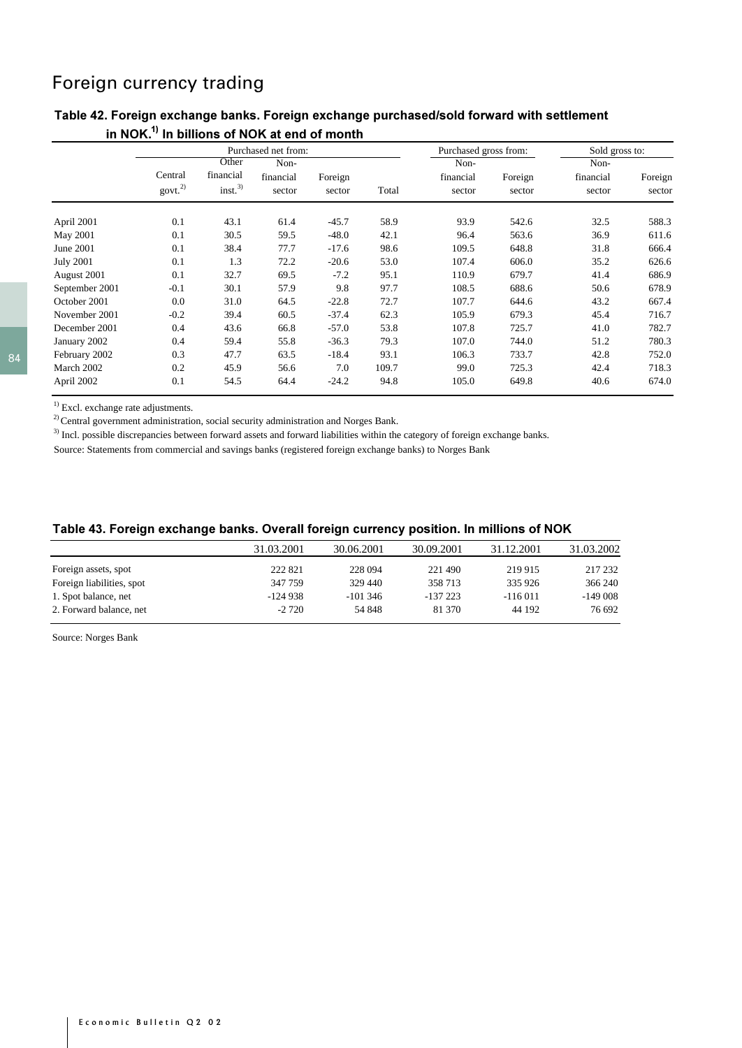## Foreign currency trading

|                  |                  |                    | Purchased net from: |         |       | Purchased gross from: |         | Sold gross to: |         |
|------------------|------------------|--------------------|---------------------|---------|-------|-----------------------|---------|----------------|---------|
|                  |                  | Other              | Non-                |         |       | Non-                  |         | Non-           |         |
|                  | Central          | financial          | financial           | Foreign |       | financial             | Foreign | financial      | Foreign |
|                  | $g$ ovt. $^{2)}$ | inst. <sup>3</sup> | sector              | sector  | Total | sector                | sector  | sector         | sector  |
| April 2001       | 0.1              | 43.1               | 61.4                | $-45.7$ | 58.9  | 93.9                  | 542.6   | 32.5           | 588.3   |
| May 2001         | 0.1              | 30.5               | 59.5                | $-48.0$ | 42.1  | 96.4                  | 563.6   | 36.9           | 611.6   |
| June 2001        | 0.1              | 38.4               | 77.7                | $-17.6$ | 98.6  | 109.5                 | 648.8   | 31.8           | 666.4   |
| <b>July 2001</b> | 0.1              | 1.3                | 72.2                | $-20.6$ | 53.0  | 107.4                 | 606.0   | 35.2           | 626.6   |
| August 2001      | 0.1              | 32.7               | 69.5                | $-7.2$  | 95.1  | 110.9                 | 679.7   | 41.4           | 686.9   |
| September 2001   | $-0.1$           | 30.1               | 57.9                | 9.8     | 97.7  | 108.5                 | 688.6   | 50.6           | 678.9   |
| October 2001     | 0.0              | 31.0               | 64.5                | $-22.8$ | 72.7  | 107.7                 | 644.6   | 43.2           | 667.4   |
| November 2001    | $-0.2$           | 39.4               | 60.5                | $-37.4$ | 62.3  | 105.9                 | 679.3   | 45.4           | 716.7   |
| December 2001    | 0.4              | 43.6               | 66.8                | $-57.0$ | 53.8  | 107.8                 | 725.7   | 41.0           | 782.7   |
| January 2002     | 0.4              | 59.4               | 55.8                | $-36.3$ | 79.3  | 107.0                 | 744.0   | 51.2           | 780.3   |
| February 2002    | 0.3              | 47.7               | 63.5                | $-18.4$ | 93.1  | 106.3                 | 733.7   | 42.8           | 752.0   |
| March 2002       | 0.2              | 45.9               | 56.6                | 7.0     | 109.7 | 99.0                  | 725.3   | 42.4           | 718.3   |
| April 2002       | 0.1              | 54.5               | 64.4                | $-24.2$ | 94.8  | 105.0                 | 649.8   | 40.6           | 674.0   |

### Table 42. Foreign exchange banks. Foreign exchange purchased/sold forward with settlement in NOK. $^{1)}$  In billions of NOK at end of month

<sup>1)</sup> Excl. exchange rate adjustments.

<sup>2)</sup> Central government administration, social security administration and Norges Bank.

<sup>3)</sup> Incl. possible discrepancies between forward assets and forward liabilities within the category of foreign exchange banks.

Source: Statements from commercial and savings banks (registered foreign exchange banks) to Norges Bank

#### Table 43. Foreign exchange banks. Overall foreign currency position. In millions of NOK

|                           | 31.03.2001 | 30.06.2001 | 30.09.2001 | 31.12.2001 | 31.03.2002 |
|---------------------------|------------|------------|------------|------------|------------|
| Foreign assets, spot      | 222 821    | 228 094    | 221 490    | 219 915    | 217 232    |
| Foreign liabilities, spot | 347 759    | 329 440    | 358 713    | 335 926    | 366 240    |
| 1. Spot balance, net      | $-124938$  | $-101346$  | $-137223$  | $-116011$  | $-149008$  |
| 2. Forward balance, net   | $-2720$    | 54 848     | 81 370     | 44 192     | 76 692     |